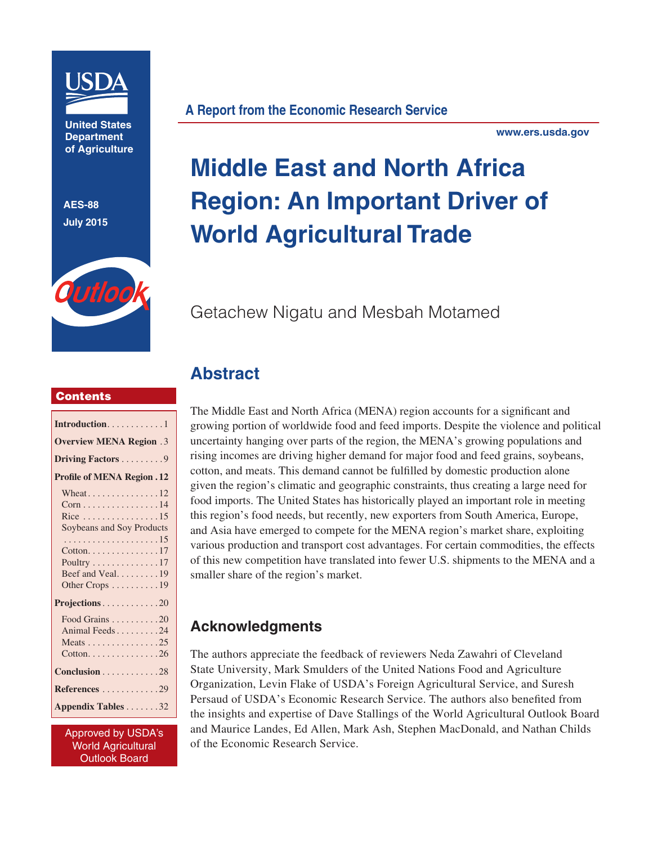

**United States Department of Agriculture**

**AES-88 July 2015**



**A Report from the Economic Research Service**

**www.ers.usda.gov**

# **Middle East and North Africa Region: An Important Driver of World Agricultural Trade**

## Getachew Nigatu and Mesbah Motamed

#### **Contents**

| Introduction. 1                              |
|----------------------------------------------|
| <b>Overview MENA Region .3</b>               |
| Driving Factors 9                            |
| <b>Profile of MENA Region . 12</b>           |
|                                              |
| $Corn \ldots \ldots \ldots \ldots \ldots 14$ |
| Rice 15                                      |
| Soybeans and Soy Products                    |
|                                              |
| $Cotton. \ldots \ldots \ldots \ldots 17$     |
| Poultry $\dots \dots \dots \dots 17$         |
| Beef and Veal19                              |
| Other Crops 19                               |
| Projections20                                |
| Food Grains 20                               |
| Animal Feeds24                               |
| Meats 25                                     |
| $Cotton. \ldots \ldots \ldots \ldots 26$     |
| Conclusion 28                                |
| References 29                                |
| Appendix Tables 32                           |

Approved by USDA's World Agricultural Outlook Board

The Middle East and North Africa (MENA) region accounts for a significant and growing portion of worldwide food and feed imports. Despite the violence and political uncertainty hanging over parts of the region, the MENA's growing populations and rising incomes are driving higher demand for major food and feed grains, soybeans, cotton, and meats. This demand cannot be fulfilled by domestic production alone given the region's climatic and geographic constraints, thus creating a large need for food imports. The United States has historically played an important role in meeting this region's food needs, but recently, new exporters from South America, Europe, and Asia have emerged to compete for the MENA region's market share, exploiting various production and transport cost advantages. For certain commodities, the effects of this new competition have translated into fewer U.S. shipments to the MENA and a smaller share of the region's market.

## **Acknowledgments**

**Abstract**

The authors appreciate the feedback of reviewers Neda Zawahri of Cleveland State University, Mark Smulders of the United Nations Food and Agriculture Organization, Levin Flake of USDA's Foreign Agricultural Service, and Suresh Persaud of USDA's Economic Research Service. The authors also benefited from the insights and expertise of Dave Stallings of the World Agricultural Outlook Board and Maurice Landes, Ed Allen, Mark Ash, Stephen MacDonald, and Nathan Childs of the Economic Research Service.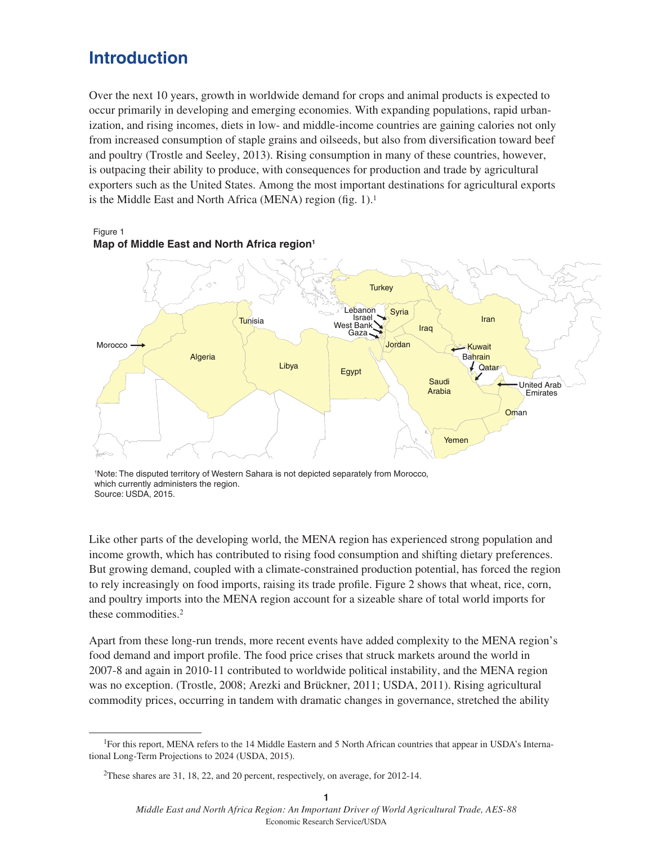## **Introduction**

Over the next 10 years, growth in worldwide demand for crops and animal products is expected to occur primarily in developing and emerging economies. With expanding populations, rapid urbanization, and rising incomes, diets in low- and middle-income countries are gaining calories not only from increased consumption of staple grains and oilseeds, but also from diversification toward beef and poultry (Trostle and Seeley, 2013). Rising consumption in many of these countries, however, is outpacing their ability to produce, with consequences for production and trade by agricultural exporters such as the United States. Among the most important destinations for agricultural exports is the Middle East and North Africa (MENA) region (fig. 1).<sup>1</sup>



Figure 1 **Map of Middle East and North Africa region1**

Like other parts of the developing world, the MENA region has experienced strong population and income growth, which has contributed to rising food consumption and shifting dietary preferences. But growing demand, coupled with a climate-constrained production potential, has forced the region to rely increasingly on food imports, raising its trade profile. Figure 2 shows that wheat, rice, corn, and poultry imports into the MENA region account for a sizeable share of total world imports for these commodities.2

Apart from these long-run trends, more recent events have added complexity to the MENA region's food demand and import profile. The food price crises that struck markets around the world in 2007-8 and again in 2010-11 contributed to worldwide political instability, and the MENA region was no exception. (Trostle, 2008; Arezki and Brückner, 2011; USDA, 2011). Rising agricultural commodity prices, occurring in tandem with dramatic changes in governance, stretched the ability

<sup>1</sup> Note: The disputed territory of Western Sahara is not depicted separately from Morocco, which currently administers the region. Source: USDA, 2015.

<sup>&</sup>lt;sup>1</sup>For this report, MENA refers to the 14 Middle Eastern and 5 North African countries that appear in USDA's International Long-Term Projections to 2024 (USDA, 2015).

<sup>2</sup>These shares are 31, 18, 22, and 20 percent, respectively, on average, for 2012-14.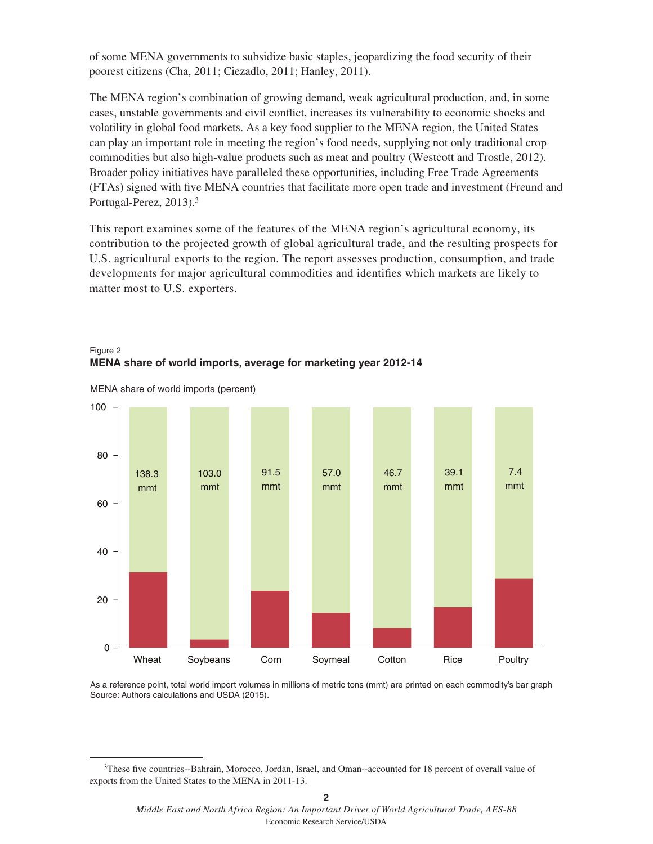of some MENA governments to subsidize basic staples, jeopardizing the food security of their poorest citizens (Cha, 2011; Ciezadlo, 2011; Hanley, 2011).

The MENA region's combination of growing demand, weak agricultural production, and, in some cases, unstable governments and civil conflict, increases its vulnerability to economic shocks and volatility in global food markets. As a key food supplier to the MENA region, the United States can play an important role in meeting the region's food needs, supplying not only traditional crop commodities but also high-value products such as meat and poultry (Westcott and Trostle, 2012). Broader policy initiatives have paralleled these opportunities, including Free Trade Agreements (FTAs) signed with five MENA countries that facilitate more open trade and investment (Freund and Portugal-Perez, 2013).3

This report examines some of the features of the MENA region's agricultural economy, its contribution to the projected growth of global agricultural trade, and the resulting prospects for U.S. agricultural exports to the region. The report assesses production, consumption, and trade developments for major agricultural commodities and identifies which markets are likely to matter most to U.S. exporters.





MENA share of world imports (percent)

As a reference point, total world import volumes in millions of metric tons (mmt) are printed on each commodity's bar graph Source: Authors calculations and USDA (2015).

<sup>&</sup>lt;sup>3</sup>These five countries--Bahrain, Morocco, Jordan, Israel, and Oman--accounted for 18 percent of overall value of exports from the United States to the MENA in 2011-13.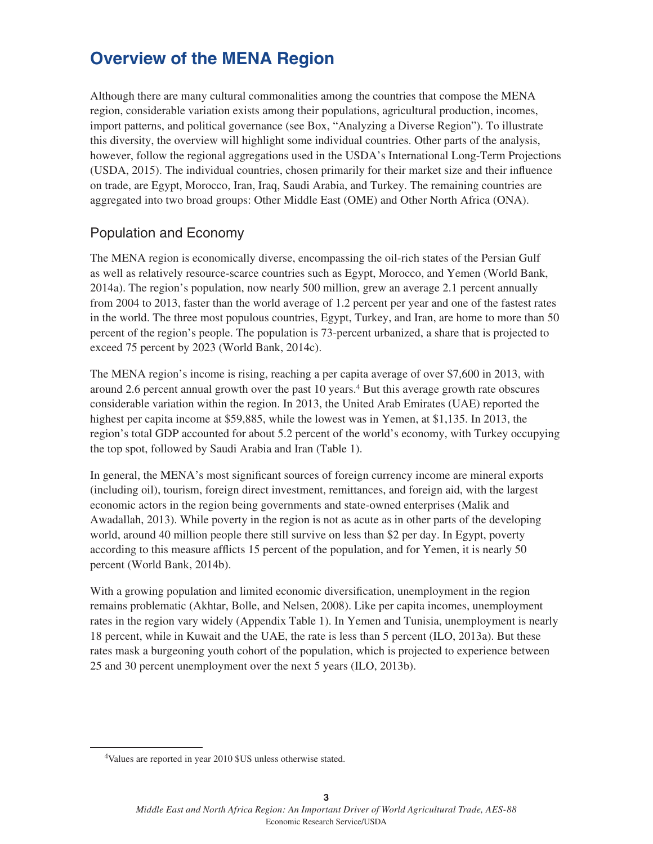## **Overview of the MENA Region**

Although there are many cultural commonalities among the countries that compose the MENA region, considerable variation exists among their populations, agricultural production, incomes, import patterns, and political governance (see Box, "Analyzing a Diverse Region"). To illustrate this diversity, the overview will highlight some individual countries. Other parts of the analysis, however, follow the regional aggregations used in the USDA's International Long-Term Projections (USDA, 2015). The individual countries, chosen primarily for their market size and their influence on trade, are Egypt, Morocco, Iran, Iraq, Saudi Arabia, and Turkey. The remaining countries are aggregated into two broad groups: Other Middle East (OME) and Other North Africa (ONA).

## Population and Economy

The MENA region is economically diverse, encompassing the oil-rich states of the Persian Gulf as well as relatively resource-scarce countries such as Egypt, Morocco, and Yemen (World Bank, 2014a). The region's population, now nearly 500 million, grew an average 2.1 percent annually from 2004 to 2013, faster than the world average of 1.2 percent per year and one of the fastest rates in the world. The three most populous countries, Egypt, Turkey, and Iran, are home to more than 50 percent of the region's people. The population is 73-percent urbanized, a share that is projected to exceed 75 percent by 2023 (World Bank, 2014c).

The MENA region's income is rising, reaching a per capita average of over \$7,600 in 2013, with around 2.6 percent annual growth over the past 10 years.4 But this average growth rate obscures considerable variation within the region. In 2013, the United Arab Emirates (UAE) reported the highest per capita income at \$59,885, while the lowest was in Yemen, at \$1,135. In 2013, the region's total GDP accounted for about 5.2 percent of the world's economy, with Turkey occupying the top spot, followed by Saudi Arabia and Iran (Table 1).

In general, the MENA's most significant sources of foreign currency income are mineral exports (including oil), tourism, foreign direct investment, remittances, and foreign aid, with the largest economic actors in the region being governments and state-owned enterprises (Malik and Awadallah, 2013). While poverty in the region is not as acute as in other parts of the developing world, around 40 million people there still survive on less than \$2 per day. In Egypt, poverty according to this measure afflicts 15 percent of the population, and for Yemen, it is nearly 50 percent (World Bank, 2014b).

With a growing population and limited economic diversification, unemployment in the region remains problematic (Akhtar, Bolle, and Nelsen, 2008). Like per capita incomes, unemployment rates in the region vary widely (Appendix Table 1). In Yemen and Tunisia, unemployment is nearly 18 percent, while in Kuwait and the UAE, the rate is less than 5 percent (ILO, 2013a). But these rates mask a burgeoning youth cohort of the population, which is projected to experience between 25 and 30 percent unemployment over the next 5 years (ILO, 2013b).

<sup>4</sup>Values are reported in year 2010 \$US unless otherwise stated.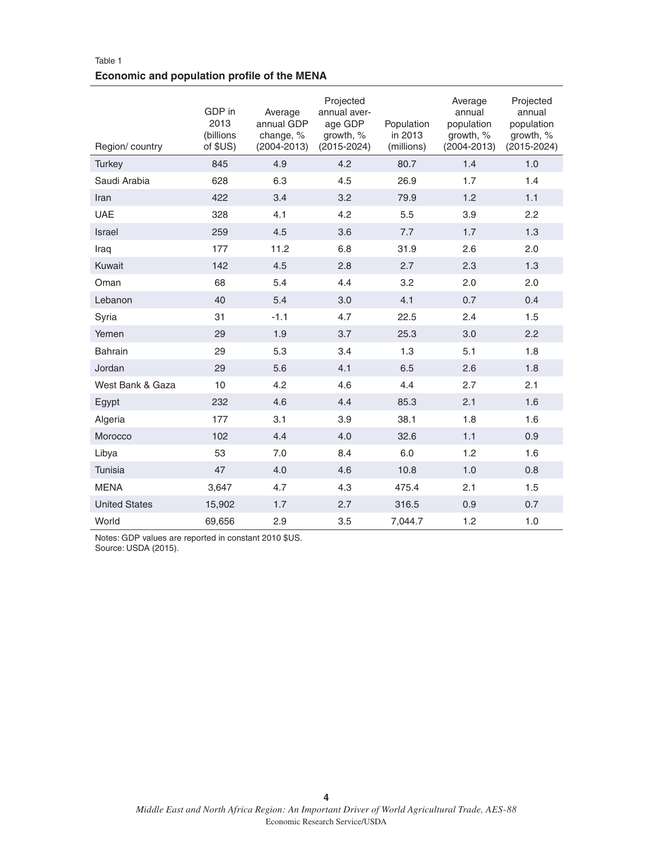#### Table 1 **Economic and population profile of the MENA**

| Region/country       | GDP in<br>2013<br>(billions<br>of \$US) | Average<br>annual GDP<br>change, %<br>$(2004 - 2013)$ | Projected<br>annual aver-<br>age GDP<br>growth, %<br>$(2015 - 2024)$ | Population<br>in 2013<br>(millions) | Average<br>annual<br>population<br>growth, %<br>$(2004 - 2013)$ | Projected<br>annual<br>population<br>growth, %<br>$(2015 - 2024)$ |
|----------------------|-----------------------------------------|-------------------------------------------------------|----------------------------------------------------------------------|-------------------------------------|-----------------------------------------------------------------|-------------------------------------------------------------------|
| <b>Turkey</b>        | 845                                     | 4.9                                                   | 4.2                                                                  | 80.7                                | 1.4                                                             | 1.0                                                               |
| Saudi Arabia         | 628                                     | 6.3                                                   | 4.5                                                                  | 26.9                                | 1.7                                                             | 1.4                                                               |
| Iran                 | 422                                     | 3.4                                                   | 3.2                                                                  | 79.9                                | 1.2                                                             | 1.1                                                               |
| <b>UAE</b>           | 328                                     | 4.1                                                   | 4.2                                                                  | 5.5                                 | 3.9                                                             | 2.2                                                               |
| Israel               | 259                                     | 4.5                                                   | 3.6                                                                  | 7.7                                 | 1.7                                                             | 1.3                                                               |
| Iraq                 | 177                                     | 11.2                                                  | 6.8                                                                  | 31.9                                | 2.6                                                             | 2.0                                                               |
| Kuwait               | 142                                     | 4.5                                                   | 2.8                                                                  | 2.7                                 | 2.3                                                             | 1.3                                                               |
| Oman                 | 68                                      | 5.4                                                   | 4.4                                                                  | 3.2                                 | 2.0                                                             | 2.0                                                               |
| Lebanon              | 40                                      | 5.4                                                   | 3.0                                                                  | 4.1                                 | 0.7                                                             | 0.4                                                               |
| Syria                | 31                                      | $-1.1$                                                | 4.7                                                                  | 22.5                                | 2.4                                                             | 1.5                                                               |
| Yemen                | 29                                      | 1.9                                                   | 3.7                                                                  | 25.3                                | 3.0                                                             | 2.2                                                               |
| <b>Bahrain</b>       | 29                                      | 5.3                                                   | 3.4                                                                  | 1.3                                 | 5.1                                                             | 1.8                                                               |
| Jordan               | 29                                      | 5.6                                                   | 4.1                                                                  | 6.5                                 | 2.6                                                             | 1.8                                                               |
| West Bank & Gaza     | 10                                      | 4.2                                                   | 4.6                                                                  | 4.4                                 | 2.7                                                             | 2.1                                                               |
| Egypt                | 232                                     | 4.6                                                   | 4.4                                                                  | 85.3                                | 2.1                                                             | 1.6                                                               |
| Algeria              | 177                                     | 3.1                                                   | 3.9                                                                  | 38.1                                | 1.8                                                             | 1.6                                                               |
| Morocco              | 102                                     | 4.4                                                   | 4.0                                                                  | 32.6                                | 1.1                                                             | 0.9                                                               |
| Libya                | 53                                      | 7.0                                                   | 8.4                                                                  | 6.0                                 | 1.2                                                             | 1.6                                                               |
| Tunisia              | 47                                      | 4.0                                                   | 4.6                                                                  | 10.8                                | 1.0                                                             | 0.8                                                               |
| <b>MENA</b>          | 3,647                                   | 4.7                                                   | 4.3                                                                  | 475.4                               | 2.1                                                             | 1.5                                                               |
| <b>United States</b> | 15,902                                  | 1.7                                                   | 2.7                                                                  | 316.5                               | 0.9                                                             | 0.7                                                               |
| World                | 69,656                                  | 2.9                                                   | 3.5                                                                  | 7,044.7                             | 1.2                                                             | 1.0                                                               |

Notes: GDP values are reported in constant 2010 \$US. Source: USDA (2015).

**4**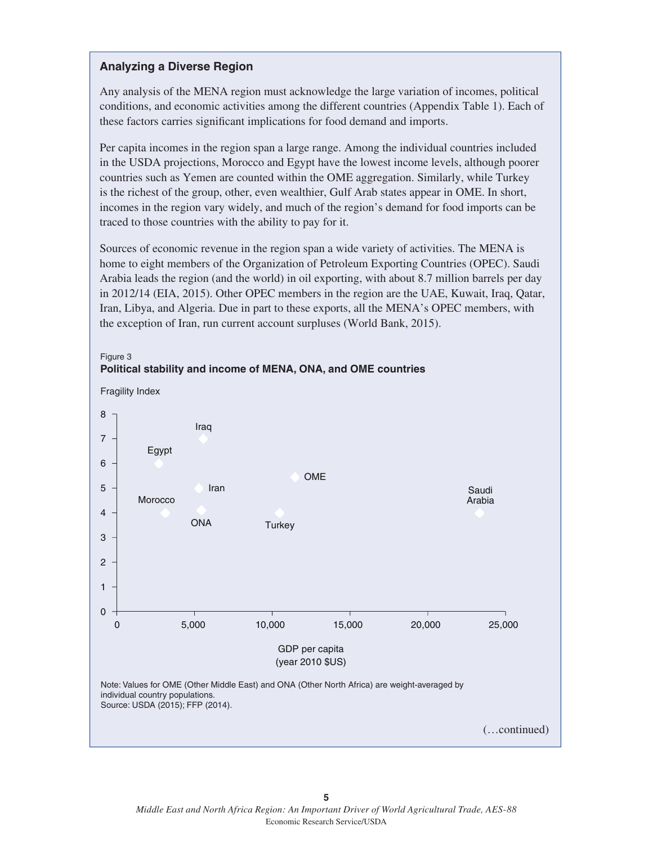#### **Analyzing a Diverse Region**

Any analysis of the MENA region must acknowledge the large variation of incomes, political conditions, and economic activities among the different countries (Appendix Table 1). Each of these factors carries significant implications for food demand and imports.

Per capita incomes in the region span a large range. Among the individual countries included in the USDA projections, Morocco and Egypt have the lowest income levels, although poorer countries such as Yemen are counted within the OME aggregation. Similarly, while Turkey is the richest of the group, other, even wealthier, Gulf Arab states appear in OME. In short, incomes in the region vary widely, and much of the region's demand for food imports can be traced to those countries with the ability to pay for it.

Sources of economic revenue in the region span a wide variety of activities. The MENA is home to eight members of the Organization of Petroleum Exporting Countries (OPEC). Saudi Arabia leads the region (and the world) in oil exporting, with about 8.7 million barrels per day in 2012/14 (EIA, 2015). Other OPEC members in the region are the UAE, Kuwait, Iraq, Qatar, Iran, Libya, and Algeria. Due in part to these exports, all the MENA's OPEC members, with the exception of Iran, run current account surpluses (World Bank, 2015).



Figure 3 **Political stability and income of MENA, ONA, and OME countries**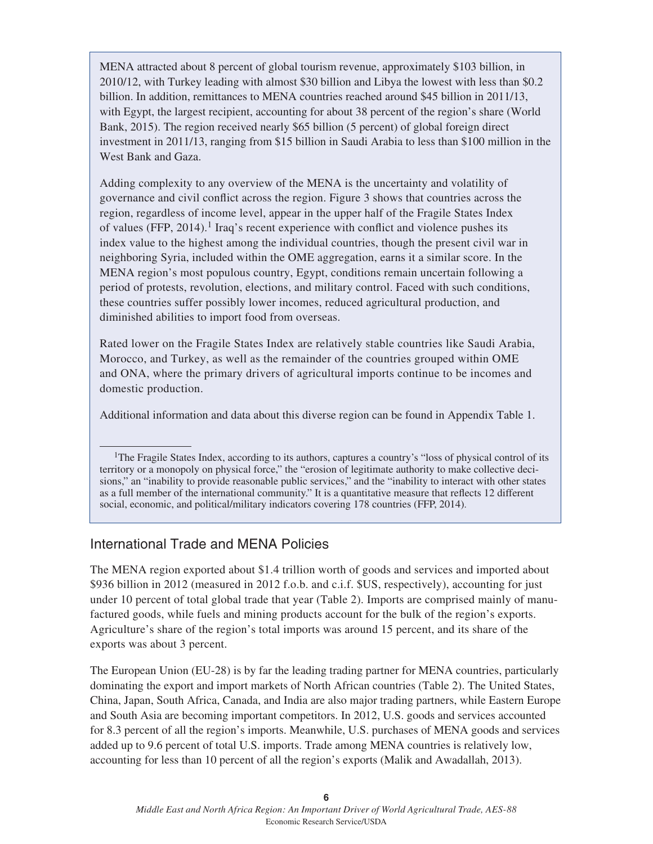MENA attracted about 8 percent of global tourism revenue, approximately \$103 billion, in 2010/12, with Turkey leading with almost \$30 billion and Libya the lowest with less than \$0.2 billion. In addition, remittances to MENA countries reached around \$45 billion in 2011/13, with Egypt, the largest recipient, accounting for about 38 percent of the region's share (World Bank, 2015). The region received nearly \$65 billion (5 percent) of global foreign direct investment in 2011/13, ranging from \$15 billion in Saudi Arabia to less than \$100 million in the West Bank and Gaza.

Adding complexity to any overview of the MENA is the uncertainty and volatility of governance and civil conflict across the region. Figure 3 shows that countries across the region, regardless of income level, appear in the upper half of the Fragile States Index of values (FFP,  $2014$ ).<sup>1</sup> Iraq's recent experience with conflict and violence pushes its index value to the highest among the individual countries, though the present civil war in neighboring Syria, included within the OME aggregation, earns it a similar score. In the MENA region's most populous country, Egypt, conditions remain uncertain following a period of protests, revolution, elections, and military control. Faced with such conditions, these countries suffer possibly lower incomes, reduced agricultural production, and diminished abilities to import food from overseas.

Rated lower on the Fragile States Index are relatively stable countries like Saudi Arabia, Morocco, and Turkey, as well as the remainder of the countries grouped within OME and ONA, where the primary drivers of agricultural imports continue to be incomes and domestic production.

Additional information and data about this diverse region can be found in Appendix Table 1.

<sup>1</sup>The Fragile States Index, according to its authors, captures a country's "loss of physical control of its territory or a monopoly on physical force," the "erosion of legitimate authority to make collective decisions," an "inability to provide reasonable public services," and the "inability to interact with other states as a full member of the international community." It is a quantitative measure that reflects 12 different social, economic, and political/military indicators covering 178 countries (FFP, 2014).

## International Trade and MENA Policies

The MENA region exported about \$1.4 trillion worth of goods and services and imported about \$936 billion in 2012 (measured in 2012 f.o.b. and c.i.f. \$US, respectively), accounting for just under 10 percent of total global trade that year (Table 2). Imports are comprised mainly of manufactured goods, while fuels and mining products account for the bulk of the region's exports. Agriculture's share of the region's total imports was around 15 percent, and its share of the exports was about 3 percent.

The European Union (EU-28) is by far the leading trading partner for MENA countries, particularly dominating the export and import markets of North African countries (Table 2). The United States, China, Japan, South Africa, Canada, and India are also major trading partners, while Eastern Europe and South Asia are becoming important competitors. In 2012, U.S. goods and services accounted for 8.3 percent of all the region's imports. Meanwhile, U.S. purchases of MENA goods and services added up to 9.6 percent of total U.S. imports. Trade among MENA countries is relatively low, accounting for less than 10 percent of all the region's exports (Malik and Awadallah, 2013).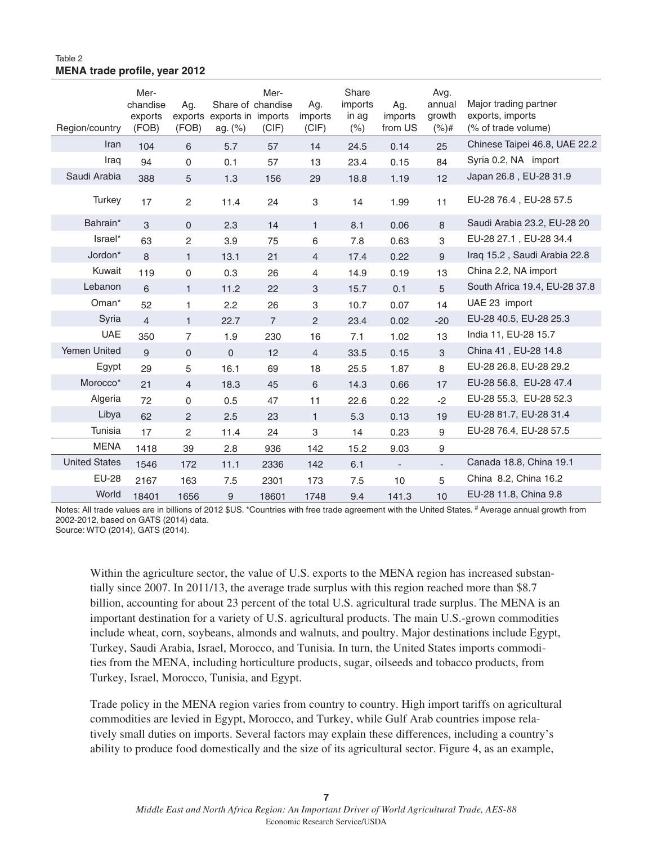#### Table 2 **MENA trade profile, year 2012**

| Region/country       | Mer-<br>chandise<br>exports<br>(FOB) | Ag.<br>exports<br>(FOB) | Share of chandise<br>exports in imports<br>ag. $(\%)$ | Mer-<br>(CIF)  | Ag.<br>imports<br>(CIF) | Share<br>imports<br>in ag<br>(% ) | Ag.<br>imports<br>from US | Avg.<br>annual<br>growth<br>(%)# | Major trading partner<br>exports, imports<br>(% of trade volume) |
|----------------------|--------------------------------------|-------------------------|-------------------------------------------------------|----------------|-------------------------|-----------------------------------|---------------------------|----------------------------------|------------------------------------------------------------------|
| Iran                 | 104                                  | 6                       | 5.7                                                   | 57             | 14                      | 24.5                              | 0.14                      | 25                               | Chinese Taipei 46.8, UAE 22.2                                    |
| Iraq                 | 94                                   | $\mathsf{O}\xspace$     | 0.1                                                   | 57             | 13                      | 23.4                              | 0.15                      | 84                               | Syria 0.2, NA import                                             |
| Saudi Arabia         | 388                                  | 5                       | 1.3                                                   | 156            | 29                      | 18.8                              | 1.19                      | 12                               | Japan 26.8, EU-28 31.9                                           |
| Turkey               | 17                                   | $\overline{c}$          | 11.4                                                  | 24             | 3                       | 14                                | 1.99                      | 11                               | EU-28 76.4, EU-28 57.5                                           |
| Bahrain*             | 3                                    | $\mathbf{0}$            | 2.3                                                   | 14             | $\mathbf{1}$            | 8.1                               | 0.06                      | 8                                | Saudi Arabia 23.2, EU-28 20                                      |
| Israel*              | 63                                   | $\overline{c}$          | 3.9                                                   | 75             | 6                       | 7.8                               | 0.63                      | 3                                | EU-28 27.1, EU-28 34.4                                           |
| Jordon*              | 8                                    | $\mathbf{1}$            | 13.1                                                  | 21             | $\overline{4}$          | 17.4                              | 0.22                      | 9                                | Iraq 15.2, Saudi Arabia 22.8                                     |
| Kuwait               | 119                                  | 0                       | 0.3                                                   | 26             | 4                       | 14.9                              | 0.19                      | 13                               | China 2.2, NA import                                             |
| Lebanon              | 6                                    | $\mathbf{1}$            | 11.2                                                  | 22             | 3                       | 15.7                              | 0.1                       | 5                                | South Africa 19.4, EU-28 37.8                                    |
| Oman <sup>*</sup>    | 52                                   | 1                       | 2.2                                                   | 26             | 3                       | 10.7                              | 0.07                      | 14                               | UAE 23 import                                                    |
| Syria                | $\overline{4}$                       | $\mathbf{1}$            | 22.7                                                  | $\overline{7}$ | $\overline{c}$          | 23.4                              | 0.02                      | $-20$                            | EU-28 40.5, EU-28 25.3                                           |
| <b>UAE</b>           | 350                                  | $\overline{7}$          | 1.9                                                   | 230            | 16                      | 7.1                               | 1.02                      | 13                               | India 11, EU-28 15.7                                             |
| Yemen United         | 9                                    | $\mathsf{O}\xspace$     | $\mathsf{O}\xspace$                                   | 12             | $\overline{4}$          | 33.5                              | 0.15                      | 3                                | China 41, EU-28 14.8                                             |
| Egypt                | 29                                   | 5                       | 16.1                                                  | 69             | 18                      | 25.5                              | 1.87                      | 8                                | EU-28 26.8, EU-28 29.2                                           |
| Morocco*             | 21                                   | $\overline{4}$          | 18.3                                                  | 45             | 6                       | 14.3                              | 0.66                      | 17                               | EU-28 56.8, EU-28 47.4                                           |
| Algeria              | 72                                   | $\mathbf 0$             | 0.5                                                   | 47             | 11                      | 22.6                              | 0.22                      | $-2$                             | EU-28 55.3, EU-28 52.3                                           |
| Libya                | 62                                   | 2                       | 2.5                                                   | 23             | $\mathbf{1}$            | 5.3                               | 0.13                      | 19                               | EU-28 81.7, EU-28 31.4                                           |
| Tunisia              | 17                                   | $\overline{c}$          | 11.4                                                  | 24             | $\,3$                   | 14                                | 0.23                      | 9                                | EU-28 76.4, EU-28 57.5                                           |
| <b>MENA</b>          | 1418                                 | 39                      | 2.8                                                   | 936            | 142                     | 15.2                              | 9.03                      | 9                                |                                                                  |
| <b>United States</b> | 1546                                 | 172                     | 11.1                                                  | 2336           | 142                     | 6.1                               | $\blacksquare$            | $\blacksquare$                   | Canada 18.8, China 19.1                                          |
| <b>EU-28</b>         | 2167                                 | 163                     | 7.5                                                   | 2301           | 173                     | 7.5                               | 10                        | 5                                | China 8.2, China 16.2                                            |
| World                | 18401                                | 1656                    | 9                                                     | 18601          | 1748                    | 9.4                               | 141.3                     | 10                               | EU-28 11.8, China 9.8                                            |

Notes: All trade values are in billions of 2012 \$US. \*Countries with free trade agreement with the United States. # Average annual growth from 2002-2012, based on GATS (2014) data.

Source: WTO (2014), GATS (2014).

Within the agriculture sector, the value of U.S. exports to the MENA region has increased substantially since 2007. In 2011/13, the average trade surplus with this region reached more than \$8.7 billion, accounting for about 23 percent of the total U.S. agricultural trade surplus. The MENA is an important destination for a variety of U.S. agricultural products. The main U.S.-grown commodities include wheat, corn, soybeans, almonds and walnuts, and poultry. Major destinations include Egypt, Turkey, Saudi Arabia, Israel, Morocco, and Tunisia. In turn, the United States imports commodities from the MENA, including horticulture products, sugar, oilseeds and tobacco products, from Turkey, Israel, Morocco, Tunisia, and Egypt.

Trade policy in the MENA region varies from country to country. High import tariffs on agricultural commodities are levied in Egypt, Morocco, and Turkey, while Gulf Arab countries impose relatively small duties on imports. Several factors may explain these differences, including a country's ability to produce food domestically and the size of its agricultural sector. Figure 4, as an example,

**7** *Middle East and North Africa Region: An Important Driver of World Agricultural Trade, AES-88* Economic Research Service/USDA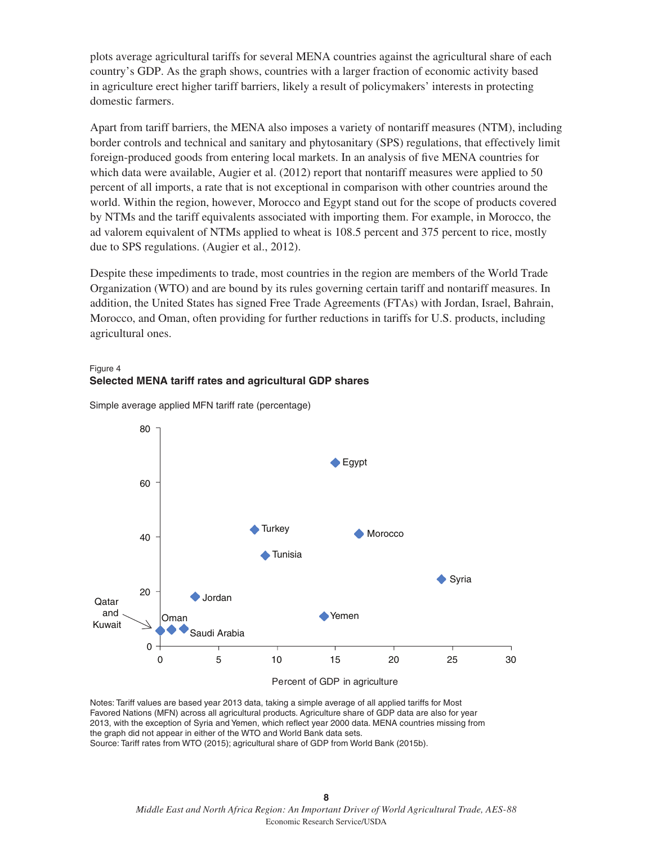plots average agricultural tariffs for several MENA countries against the agricultural share of each country's GDP. As the graph shows, countries with a larger fraction of economic activity based in agriculture erect higher tariff barriers, likely a result of policymakers' interests in protecting domestic farmers.

Apart from tariff barriers, the MENA also imposes a variety of nontariff measures (NTM), including border controls and technical and sanitary and phytosanitary (SPS) regulations, that effectively limit foreign-produced goods from entering local markets. In an analysis of five MENA countries for which data were available, Augier et al. (2012) report that nontariff measures were applied to 50 percent of all imports, a rate that is not exceptional in comparison with other countries around the world. Within the region, however, Morocco and Egypt stand out for the scope of products covered by NTMs and the tariff equivalents associated with importing them. For example, in Morocco, the ad valorem equivalent of NTMs applied to wheat is 108.5 percent and 375 percent to rice, mostly due to SPS regulations. (Augier et al., 2012).

Despite these impediments to trade, most countries in the region are members of the World Trade Organization (WTO) and are bound by its rules governing certain tariff and nontariff measures. In addition, the United States has signed Free Trade Agreements (FTAs) with Jordan, Israel, Bahrain, Morocco, and Oman, often providing for further reductions in tariffs for U.S. products, including agricultural ones.

#### Figure 4 **Selected MENA tariff rates and agricultural GDP shares**



Simple average applied MFN tariff rate (percentage)

Notes: Tariff values are based year 2013 data, taking a simple average of all applied tariffs for Most Favored Nations (MFN) across all agricultural products. Agriculture share of GDP data are also for year 2013, with the exception of Syria and Yemen, which reflect year 2000 data. MENA countries missing from the graph did not appear in either of the WTO and World Bank data sets. Source: Tariff rates from WTO (2015); agricultural share of GDP from World Bank (2015b).

> **8** *Middle East and North Africa Region: An Important Driver of World Agricultural Trade, AES-88* Economic Research Service/USDA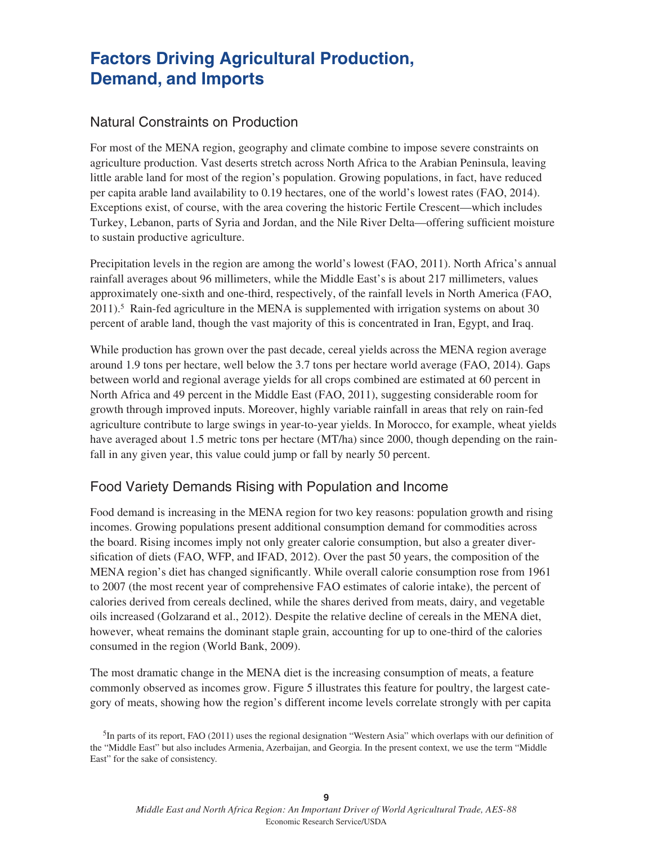## **Factors Driving Agricultural Production, Demand, and Imports**

### Natural Constraints on Production

For most of the MENA region, geography and climate combine to impose severe constraints on agriculture production. Vast deserts stretch across North Africa to the Arabian Peninsula, leaving little arable land for most of the region's population. Growing populations, in fact, have reduced per capita arable land availability to 0.19 hectares, one of the world's lowest rates (FAO, 2014). Exceptions exist, of course, with the area covering the historic Fertile Crescent—which includes Turkey, Lebanon, parts of Syria and Jordan, and the Nile River Delta—offering sufficient moisture to sustain productive agriculture.

Precipitation levels in the region are among the world's lowest (FAO, 2011). North Africa's annual rainfall averages about 96 millimeters, while the Middle East's is about 217 millimeters, values approximately one-sixth and one-third, respectively, of the rainfall levels in North America (FAO,  $2011$ .<sup>5</sup> Rain-fed agriculture in the MENA is supplemented with irrigation systems on about 30 percent of arable land, though the vast majority of this is concentrated in Iran, Egypt, and Iraq.

While production has grown over the past decade, cereal yields across the MENA region average around 1.9 tons per hectare, well below the 3.7 tons per hectare world average (FAO, 2014). Gaps between world and regional average yields for all crops combined are estimated at 60 percent in North Africa and 49 percent in the Middle East (FAO, 2011), suggesting considerable room for growth through improved inputs. Moreover, highly variable rainfall in areas that rely on rain-fed agriculture contribute to large swings in year-to-year yields. In Morocco, for example, wheat yields have averaged about 1.5 metric tons per hectare (MT/ha) since 2000, though depending on the rainfall in any given year, this value could jump or fall by nearly 50 percent.

## Food Variety Demands Rising with Population and Income

Food demand is increasing in the MENA region for two key reasons: population growth and rising incomes. Growing populations present additional consumption demand for commodities across the board. Rising incomes imply not only greater calorie consumption, but also a greater diversification of diets (FAO, WFP, and IFAD, 2012). Over the past 50 years, the composition of the MENA region's diet has changed significantly. While overall calorie consumption rose from 1961 to 2007 (the most recent year of comprehensive FAO estimates of calorie intake), the percent of calories derived from cereals declined, while the shares derived from meats, dairy, and vegetable oils increased (Golzarand et al., 2012). Despite the relative decline of cereals in the MENA diet, however, wheat remains the dominant staple grain, accounting for up to one-third of the calories consumed in the region (World Bank, 2009).

The most dramatic change in the MENA diet is the increasing consumption of meats, a feature commonly observed as incomes grow. Figure 5 illustrates this feature for poultry, the largest category of meats, showing how the region's different income levels correlate strongly with per capita

 $<sup>5</sup>$ In parts of its report, FAO (2011) uses the regional designation "Western Asia" which overlaps with our definition of</sup> the "Middle East" but also includes Armenia, Azerbaijan, and Georgia. In the present context, we use the term "Middle East" for the sake of consistency.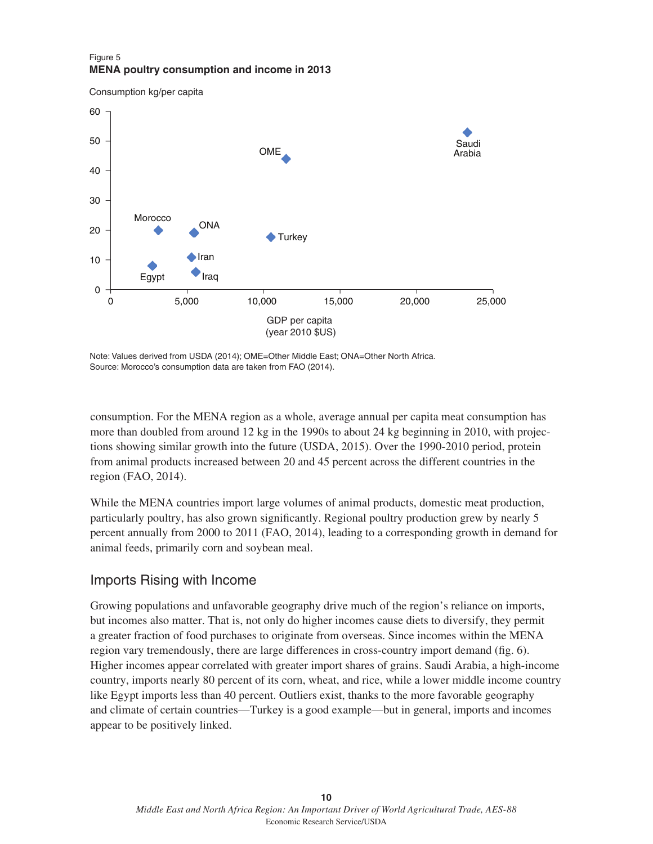#### Figure 5 **MENA poultry consumption and income in 2013**

Consumption kg/per capita



Note: Values derived from USDA (2014); OME=Other Middle East; ONA=Other North Africa. Source: Morocco's consumption data are taken from FAO (2014).

consumption. For the MENA region as a whole, average annual per capita meat consumption has more than doubled from around 12 kg in the 1990s to about 24 kg beginning in 2010, with projections showing similar growth into the future (USDA, 2015). Over the 1990-2010 period, protein from animal products increased between 20 and 45 percent across the different countries in the region (FAO, 2014).

While the MENA countries import large volumes of animal products, domestic meat production, particularly poultry, has also grown significantly. Regional poultry production grew by nearly 5 percent annually from 2000 to 2011 (FAO, 2014), leading to a corresponding growth in demand for animal feeds, primarily corn and soybean meal.

## Imports Rising with Income

Growing populations and unfavorable geography drive much of the region's reliance on imports, but incomes also matter. That is, not only do higher incomes cause diets to diversify, they permit a greater fraction of food purchases to originate from overseas. Since incomes within the MENA region vary tremendously, there are large differences in cross-country import demand (fig. 6). Higher incomes appear correlated with greater import shares of grains. Saudi Arabia, a high-income country, imports nearly 80 percent of its corn, wheat, and rice, while a lower middle income country like Egypt imports less than 40 percent. Outliers exist, thanks to the more favorable geography and climate of certain countries—Turkey is a good example—but in general, imports and incomes appear to be positively linked.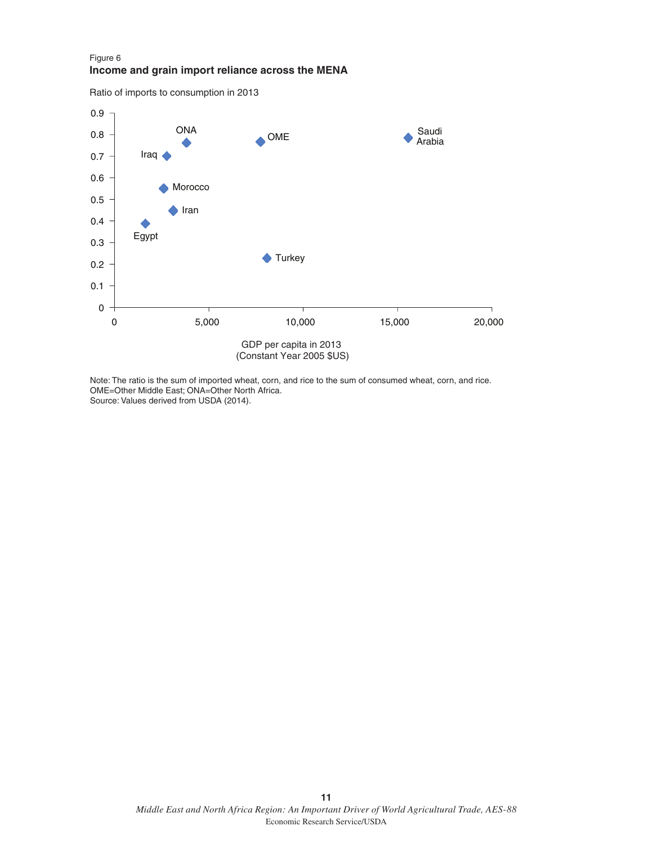#### Figure 6 **Income and grain import reliance across the MENA**

Ratio of imports to consumption in 2013



Note: The ratio is the sum of imported wheat, corn, and rice to the sum of consumed wheat, corn, and rice. OME=Other Middle East; ONA=Other North Africa. Source: Values derived from USDA (2014).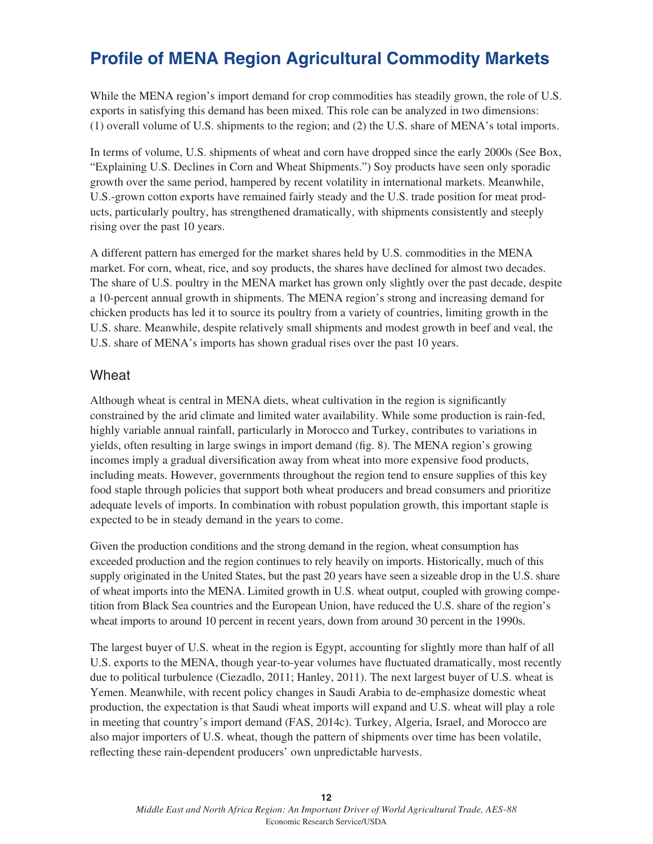## **Profile of MENA Region Agricultural Commodity Markets**

While the MENA region's import demand for crop commodities has steadily grown, the role of U.S. exports in satisfying this demand has been mixed. This role can be analyzed in two dimensions: (1) overall volume of U.S. shipments to the region; and (2) the U.S. share of MENA's total imports.

In terms of volume, U.S. shipments of wheat and corn have dropped since the early 2000s (See Box, "Explaining U.S. Declines in Corn and Wheat Shipments.") Soy products have seen only sporadic growth over the same period, hampered by recent volatility in international markets. Meanwhile, U.S.-grown cotton exports have remained fairly steady and the U.S. trade position for meat products, particularly poultry, has strengthened dramatically, with shipments consistently and steeply rising over the past 10 years.

A different pattern has emerged for the market shares held by U.S. commodities in the MENA market. For corn, wheat, rice, and soy products, the shares have declined for almost two decades. The share of U.S. poultry in the MENA market has grown only slightly over the past decade, despite a 10-percent annual growth in shipments. The MENA region's strong and increasing demand for chicken products has led it to source its poultry from a variety of countries, limiting growth in the U.S. share. Meanwhile, despite relatively small shipments and modest growth in beef and veal, the U.S. share of MENA's imports has shown gradual rises over the past 10 years.

### **Wheat**

Although wheat is central in MENA diets, wheat cultivation in the region is significantly constrained by the arid climate and limited water availability. While some production is rain-fed, highly variable annual rainfall, particularly in Morocco and Turkey, contributes to variations in yields, often resulting in large swings in import demand (fig. 8). The MENA region's growing incomes imply a gradual diversification away from wheat into more expensive food products, including meats. However, governments throughout the region tend to ensure supplies of this key food staple through policies that support both wheat producers and bread consumers and prioritize adequate levels of imports. In combination with robust population growth, this important staple is expected to be in steady demand in the years to come.

Given the production conditions and the strong demand in the region, wheat consumption has exceeded production and the region continues to rely heavily on imports. Historically, much of this supply originated in the United States, but the past 20 years have seen a sizeable drop in the U.S. share of wheat imports into the MENA. Limited growth in U.S. wheat output, coupled with growing competition from Black Sea countries and the European Union, have reduced the U.S. share of the region's wheat imports to around 10 percent in recent years, down from around 30 percent in the 1990s.

The largest buyer of U.S. wheat in the region is Egypt, accounting for slightly more than half of all U.S. exports to the MENA, though year-to-year volumes have fluctuated dramatically, most recently due to political turbulence (Ciezadlo, 2011; Hanley, 2011). The next largest buyer of U.S. wheat is Yemen. Meanwhile, with recent policy changes in Saudi Arabia to de-emphasize domestic wheat production, the expectation is that Saudi wheat imports will expand and U.S. wheat will play a role in meeting that country's import demand (FAS, 2014c). Turkey, Algeria, Israel, and Morocco are also major importers of U.S. wheat, though the pattern of shipments over time has been volatile, reflecting these rain-dependent producers' own unpredictable harvests.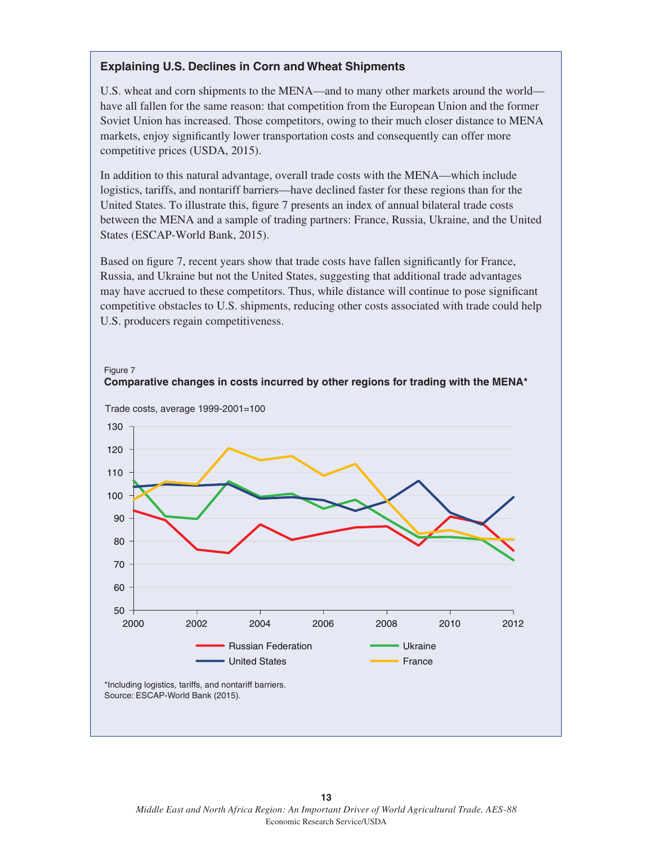### **Explaining U.S. Declines in Corn and Wheat Shipments**

U.S. wheat and corn shipments to the MENA—and to many other markets around the world have all fallen for the same reason: that competition from the European Union and the former Soviet Union has increased. Those competitors, owing to their much closer distance to MENA markets, enjoy significantly lower transportation costs and consequently can offer more competitive prices (USDA, 2015).

In addition to this natural advantage, overall trade costs with the MENA—which include logistics, tariffs, and nontariff barriers—have declined faster for these regions than for the United States. To illustrate this, figure 7 presents an index of annual bilateral trade costs between the MENA and a sample of trading partners: France, Russia, Ukraine, and the United States (ESCAP-World Bank, 2015).

Based on figure 7, recent years show that trade costs have fallen significantly for France, Russia, and Ukraine but not the United States, suggesting that additional trade advantages may have accrued to these competitors. Thus, while distance will continue to pose significant competitive obstacles to U.S. shipments, reducing other costs associated with trade could help U.S. producers regain competitiveness.

**Comparative changes in costs incurred by other regions for trading with the MENA\*** 



Figure 7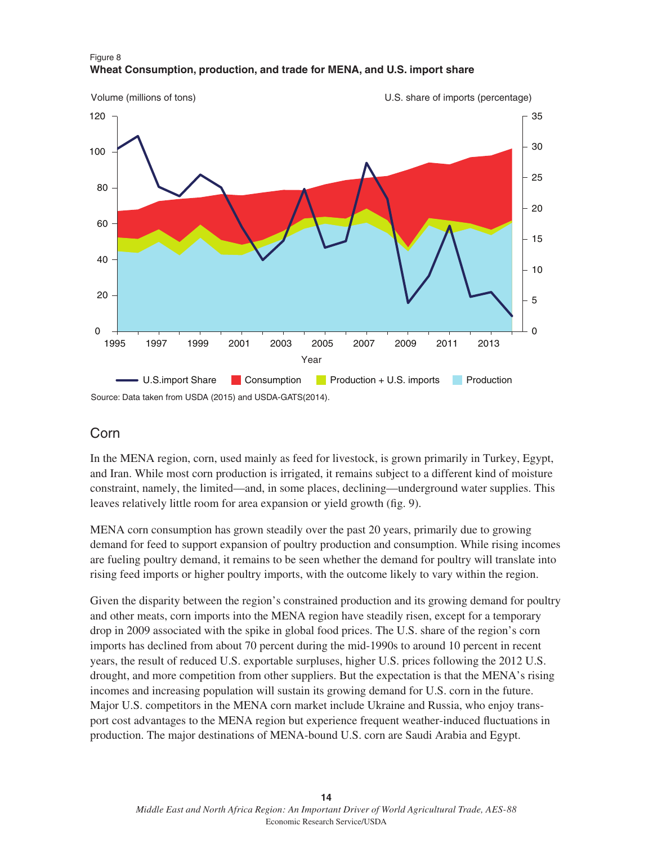

#### Figure 8 **Wheat Consumption, production, and trade for MENA, and U.S. import share**

## Corn

In the MENA region, corn, used mainly as feed for livestock, is grown primarily in Turkey, Egypt, and Iran. While most corn production is irrigated, it remains subject to a different kind of moisture constraint, namely, the limited—and, in some places, declining—underground water supplies. This leaves relatively little room for area expansion or yield growth (fig. 9).

MENA corn consumption has grown steadily over the past 20 years, primarily due to growing demand for feed to support expansion of poultry production and consumption. While rising incomes are fueling poultry demand, it remains to be seen whether the demand for poultry will translate into rising feed imports or higher poultry imports, with the outcome likely to vary within the region.

Given the disparity between the region's constrained production and its growing demand for poultry and other meats, corn imports into the MENA region have steadily risen, except for a temporary drop in 2009 associated with the spike in global food prices. The U.S. share of the region's corn imports has declined from about 70 percent during the mid-1990s to around 10 percent in recent years, the result of reduced U.S. exportable surpluses, higher U.S. prices following the 2012 U.S. drought, and more competition from other suppliers. But the expectation is that the MENA's rising incomes and increasing population will sustain its growing demand for U.S. corn in the future. Major U.S. competitors in the MENA corn market include Ukraine and Russia, who enjoy transport cost advantages to the MENA region but experience frequent weather-induced fluctuations in production. The major destinations of MENA-bound U.S. corn are Saudi Arabia and Egypt.

Source: Data taken from USDA (2015) and USDA-GATS(2014).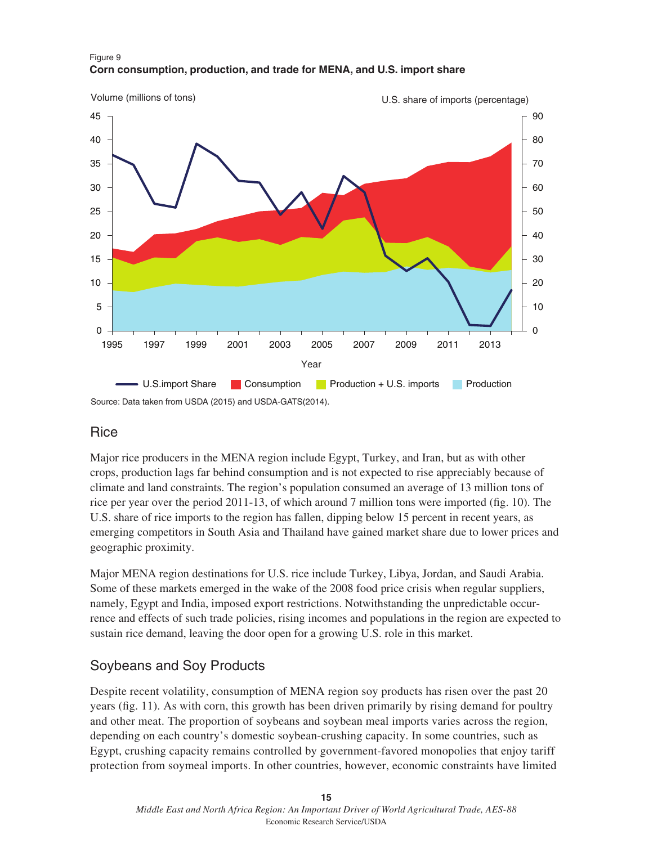

#### Figure 9 **Corn consumption, production, and trade for MENA, and U.S. import share**

### **Rice**

Major rice producers in the MENA region include Egypt, Turkey, and Iran, but as with other crops, production lags far behind consumption and is not expected to rise appreciably because of climate and land constraints. The region's population consumed an average of 13 million tons of rice per year over the period 2011-13, of which around 7 million tons were imported (fig. 10). The U.S. share of rice imports to the region has fallen, dipping below 15 percent in recent years, as emerging competitors in South Asia and Thailand have gained market share due to lower prices and geographic proximity.

Major MENA region destinations for U.S. rice include Turkey, Libya, Jordan, and Saudi Arabia. Some of these markets emerged in the wake of the 2008 food price crisis when regular suppliers, namely, Egypt and India, imposed export restrictions. Notwithstanding the unpredictable occurrence and effects of such trade policies, rising incomes and populations in the region are expected to sustain rice demand, leaving the door open for a growing U.S. role in this market.

## Soybeans and Soy Products

Despite recent volatility, consumption of MENA region soy products has risen over the past 20 years (fig. 11). As with corn, this growth has been driven primarily by rising demand for poultry and other meat. The proportion of soybeans and soybean meal imports varies across the region, depending on each country's domestic soybean-crushing capacity. In some countries, such as Egypt, crushing capacity remains controlled by government-favored monopolies that enjoy tariff protection from soymeal imports. In other countries, however, economic constraints have limited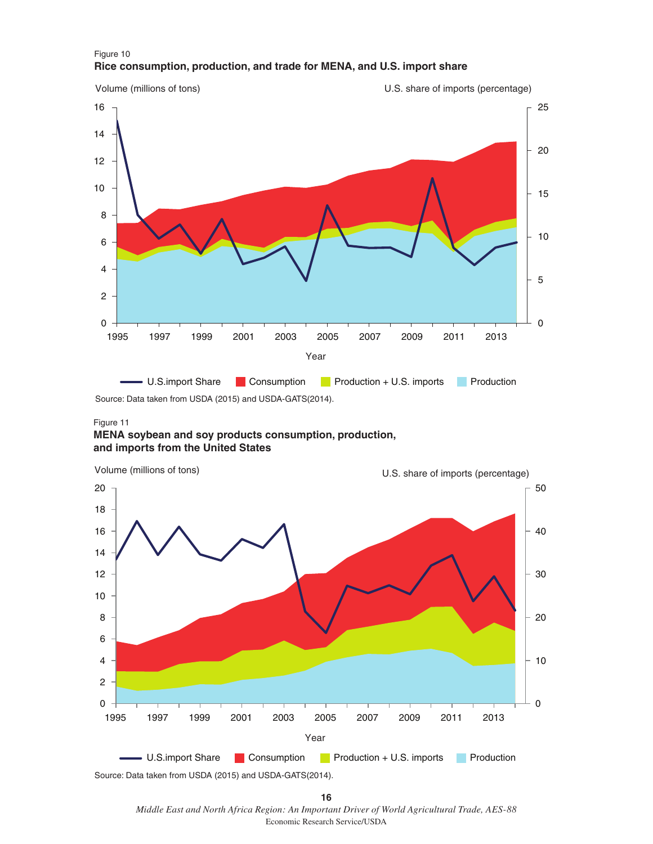

#### Figure 10 **Rice consumption, production, and trade for MENA, and U.S. import share**

Source: Data taken from USDA (2015) and USDA-GATS(2014).

#### Figure 11

#### **MENA soybean and soy products consumption, production, and imports from the United States**



Source: Data taken from USDA (2015) and USDA-GATS(2014).

 *Middle East and North Africa Region: An Important Driver of World Agricultural Trade, AES-88* Economic Research Service/USDA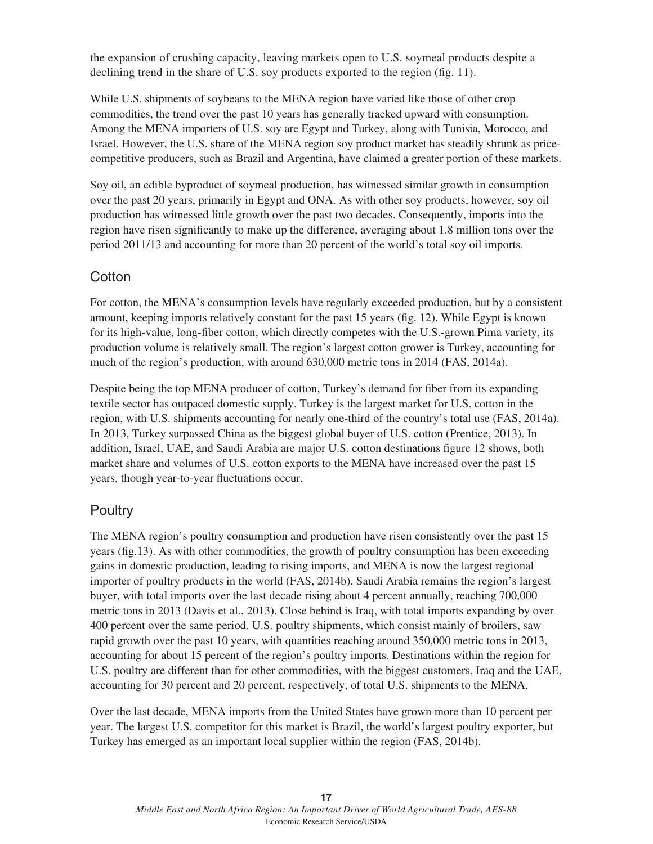the expansion of crushing capacity, leaving markets open to U.S. soymeal products despite a declining trend in the share of U.S. soy products exported to the region (fig. 11).

While U.S. shipments of soybeans to the MENA region have varied like those of other crop commodities, the trend over the past 10 years has generally tracked upward with consumption. Among the MENA importers of U.S. soy are Egypt and Turkey, along with Tunisia, Morocco, and Israel. However, the U.S. share of the MENA region soy product market has steadily shrunk as pricecompetitive producers, such as Brazil and Argentina, have claimed a greater portion of these markets.

Soy oil, an edible byproduct of soymeal production, has witnessed similar growth in consumption over the past 20 years, primarily in Egypt and ONA. As with other soy products, however, soy oil production has witnessed little growth over the past two decades. Consequently, imports into the region have risen significantly to make up the difference, averaging about 1.8 million tons over the period 2011/13 and accounting for more than 20 percent of the world's total soy oil imports.

## **Cotton**

For cotton, the MENA's consumption levels have regularly exceeded production, but by a consistent amount, keeping imports relatively constant for the past 15 years (fig. 12). While Egypt is known for its high-value, long-fiber cotton, which directly competes with the U.S.-grown Pima variety, its production volume is relatively small. The region's largest cotton grower is Turkey, accounting for much of the region's production, with around 630,000 metric tons in 2014 (FAS, 2014a).

Despite being the top MENA producer of cotton, Turkey's demand for fiber from its expanding textile sector has outpaced domestic supply. Turkey is the largest market for U.S. cotton in the region, with U.S. shipments accounting for nearly one-third of the country's total use (FAS, 2014a). In 2013, Turkey surpassed China as the biggest global buyer of U.S. cotton (Prentice, 2013). In addition, Israel, UAE, and Saudi Arabia are major U.S. cotton destinations figure 12 shows, both market share and volumes of U.S. cotton exports to the MENA have increased over the past 15 years, though year-to-year fluctuations occur.

## **Poultry**

The MENA region's poultry consumption and production have risen consistently over the past 15 years (fig.13). As with other commodities, the growth of poultry consumption has been exceeding gains in domestic production, leading to rising imports, and MENA is now the largest regional importer of poultry products in the world (FAS, 2014b). Saudi Arabia remains the region's largest buyer, with total imports over the last decade rising about 4 percent annually, reaching 700,000 metric tons in 2013 (Davis et al., 2013). Close behind is Iraq, with total imports expanding by over 400 percent over the same period. U.S. poultry shipments, which consist mainly of broilers, saw rapid growth over the past 10 years, with quantities reaching around 350,000 metric tons in 2013, accounting for about 15 percent of the region's poultry imports. Destinations within the region for U.S. poultry are different than for other commodities, with the biggest customers, Iraq and the UAE, accounting for 30 percent and 20 percent, respectively, of total U.S. shipments to the MENA.

Over the last decade, MENA imports from the United States have grown more than 10 percent per year. The largest U.S. competitor for this market is Brazil, the world's largest poultry exporter, but Turkey has emerged as an important local supplier within the region (FAS, 2014b).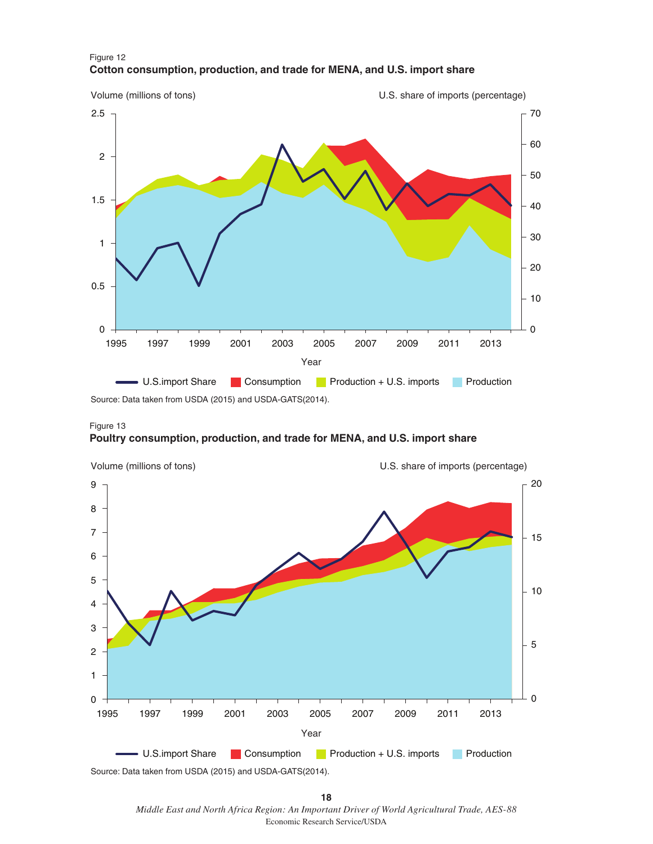

Figure 12 **Cotton consumption, production, and trade for MENA, and U.S. import share**

Source: Data taken from USDA (2015) and USDA-GATS(2014).





 *Middle East and North Africa Region: An Important Driver of World Agricultural Trade, AES-88* Economic Research Service/USDA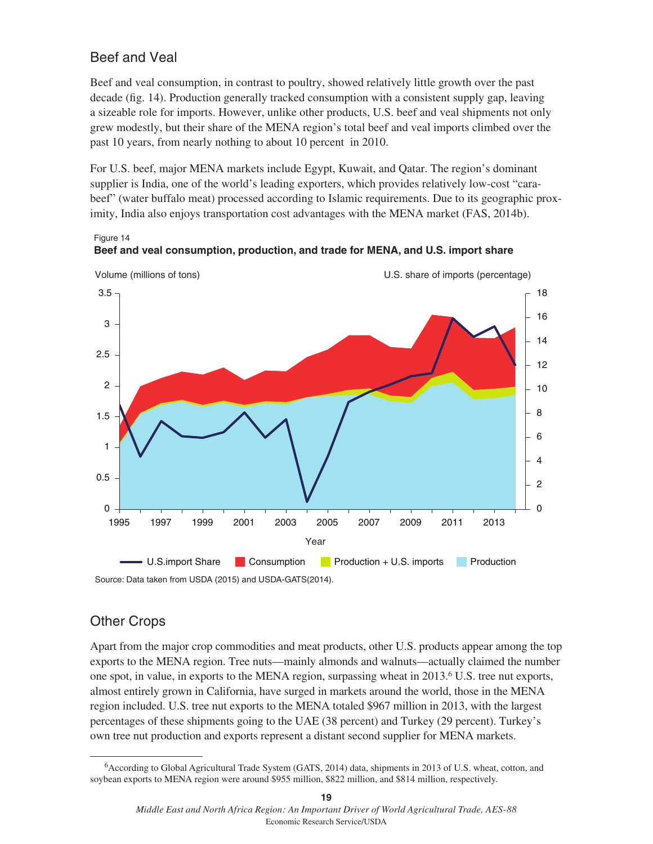## Beef and Veal

Beef and veal consumption, in contrast to poultry, showed relatively little growth over the past decade (fig. 14). Production generally tracked consumption with a consistent supply gap, leaving a sizeable role for imports. However, unlike other products, U.S. beef and veal shipments not only grew modestly, but their share of the MENA region's total beef and veal imports climbed over the past 10 years, from nearly nothing to about 10 percent in 2010.

For U.S. beef, major MENA markets include Egypt, Kuwait, and Qatar. The region's dominant supplier is India, one of the world's leading exporters, which provides relatively low-cost "carabeef" (water buffalo meat) processed according to Islamic requirements. Due to its geographic proximity, India also enjoys transportation cost advantages with the MENA market (FAS, 2014b).

Figure 14





Source: Data taken from USDA (2015) and USDA-GATS(2014).

## Other Crops

Apart from the major crop commodities and meat products, other U.S. products appear among the top exports to the MENA region. Tree nuts—mainly almonds and walnuts—actually claimed the number one spot, in value, in exports to the MENA region, surpassing wheat in 2013.6 U.S. tree nut exports, almost entirely grown in California, have surged in markets around the world, those in the MENA region included. U.S. tree nut exports to the MENA totaled \$967 million in 2013, with the largest percentages of these shipments going to the UAE (38 percent) and Turkey (29 percent). Turkey's own tree nut production and exports represent a distant second supplier for MENA markets.

<sup>&</sup>lt;sup>6</sup>According to Global Agricultural Trade System (GATS, 2014) data, shipments in 2013 of U.S. wheat, cotton, and soybean exports to MENA region were around \$955 million, \$822 million, and \$814 million, respectively.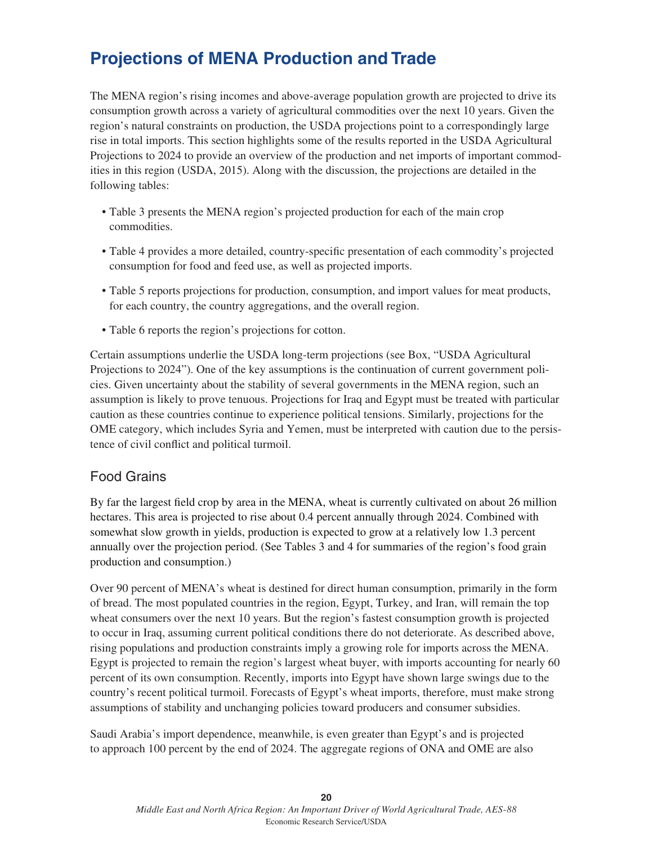## **Projections of MENA Production and Trade**

The MENA region's rising incomes and above-average population growth are projected to drive its consumption growth across a variety of agricultural commodities over the next 10 years. Given the region's natural constraints on production, the USDA projections point to a correspondingly large rise in total imports. This section highlights some of the results reported in the USDA Agricultural Projections to 2024 to provide an overview of the production and net imports of important commodities in this region (USDA, 2015). Along with the discussion, the projections are detailed in the following tables:

- Table 3 presents the MENA region's projected production for each of the main crop commodities.
- Table 4 provides a more detailed, country-specific presentation of each commodity's projected consumption for food and feed use, as well as projected imports.
- Table 5 reports projections for production, consumption, and import values for meat products, for each country, the country aggregations, and the overall region.
- Table 6 reports the region's projections for cotton.

Certain assumptions underlie the USDA long-term projections (see Box, "USDA Agricultural Projections to 2024"). One of the key assumptions is the continuation of current government policies. Given uncertainty about the stability of several governments in the MENA region, such an assumption is likely to prove tenuous. Projections for Iraq and Egypt must be treated with particular caution as these countries continue to experience political tensions. Similarly, projections for the OME category, which includes Syria and Yemen, must be interpreted with caution due to the persistence of civil conflict and political turmoil.

## Food Grains

By far the largest field crop by area in the MENA, wheat is currently cultivated on about 26 million hectares. This area is projected to rise about 0.4 percent annually through 2024. Combined with somewhat slow growth in yields, production is expected to grow at a relatively low 1.3 percent annually over the projection period. (See Tables 3 and 4 for summaries of the region's food grain production and consumption.)

Over 90 percent of MENA's wheat is destined for direct human consumption, primarily in the form of bread. The most populated countries in the region, Egypt, Turkey, and Iran, will remain the top wheat consumers over the next 10 years. But the region's fastest consumption growth is projected to occur in Iraq, assuming current political conditions there do not deteriorate. As described above, rising populations and production constraints imply a growing role for imports across the MENA. Egypt is projected to remain the region's largest wheat buyer, with imports accounting for nearly 60 percent of its own consumption. Recently, imports into Egypt have shown large swings due to the country's recent political turmoil. Forecasts of Egypt's wheat imports, therefore, must make strong assumptions of stability and unchanging policies toward producers and consumer subsidies.

Saudi Arabia's import dependence, meanwhile, is even greater than Egypt's and is projected to approach 100 percent by the end of 2024. The aggregate regions of ONA and OME are also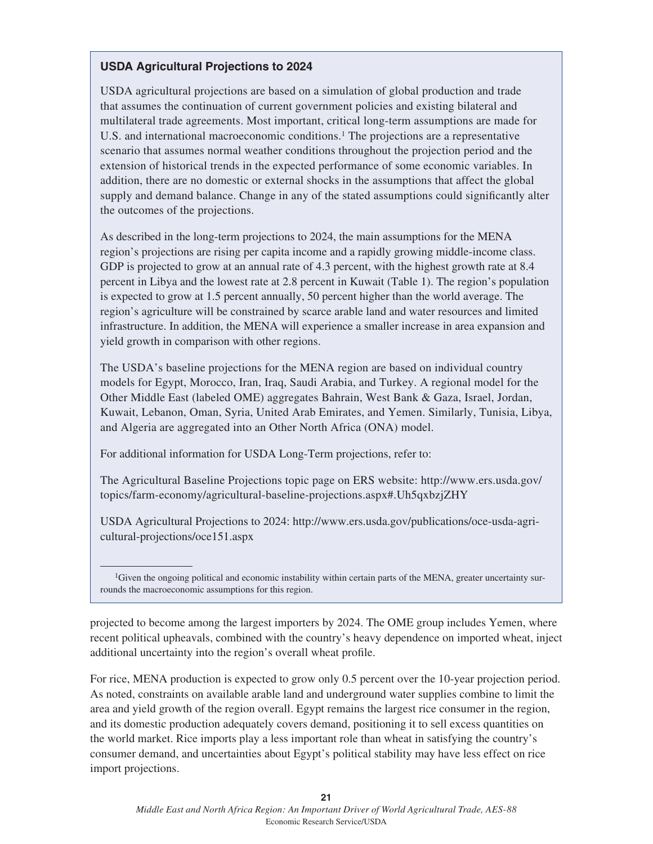### **USDA Agricultural Projections to 2024**

USDA agricultural projections are based on a simulation of global production and trade that assumes the continuation of current government policies and existing bilateral and multilateral trade agreements. Most important, critical long-term assumptions are made for U.S. and international macroeconomic conditions.1 The projections are a representative scenario that assumes normal weather conditions throughout the projection period and the extension of historical trends in the expected performance of some economic variables. In addition, there are no domestic or external shocks in the assumptions that affect the global supply and demand balance. Change in any of the stated assumptions could significantly alter the outcomes of the projections.

As described in the long-term projections to 2024, the main assumptions for the MENA region's projections are rising per capita income and a rapidly growing middle-income class. GDP is projected to grow at an annual rate of 4.3 percent, with the highest growth rate at 8.4 percent in Libya and the lowest rate at 2.8 percent in Kuwait (Table 1). The region's population is expected to grow at 1.5 percent annually, 50 percent higher than the world average. The region's agriculture will be constrained by scarce arable land and water resources and limited infrastructure. In addition, the MENA will experience a smaller increase in area expansion and yield growth in comparison with other regions.

The USDA's baseline projections for the MENA region are based on individual country models for Egypt, Morocco, Iran, Iraq, Saudi Arabia, and Turkey. A regional model for the Other Middle East (labeled OME) aggregates Bahrain, West Bank & Gaza, Israel, Jordan, Kuwait, Lebanon, Oman, Syria, United Arab Emirates, and Yemen. Similarly, Tunisia, Libya, and Algeria are aggregated into an Other North Africa (ONA) model.

For additional information for USDA Long-Term projections, refer to:

The Agricultural Baseline Projections topic page on ERS website: http://www.ers.usda.gov/ topics/farm-economy/agricultural-baseline-projections.aspx#.Uh5qxbzjZHY

USDA Agricultural Projections to 2024: http://www.ers.usda.gov/publications/oce-usda-agricultural-projections/oce151.aspx

projected to become among the largest importers by 2024. The OME group includes Yemen, where recent political upheavals, combined with the country's heavy dependence on imported wheat, inject additional uncertainty into the region's overall wheat profile.

For rice, MENA production is expected to grow only 0.5 percent over the 10-year projection period. As noted, constraints on available arable land and underground water supplies combine to limit the area and yield growth of the region overall. Egypt remains the largest rice consumer in the region, and its domestic production adequately covers demand, positioning it to sell excess quantities on the world market. Rice imports play a less important role than wheat in satisfying the country's consumer demand, and uncertainties about Egypt's political stability may have less effect on rice import projections.

<sup>&</sup>lt;sup>1</sup>Given the ongoing political and economic instability within certain parts of the MENA, greater uncertainty surrounds the macroeconomic assumptions for this region.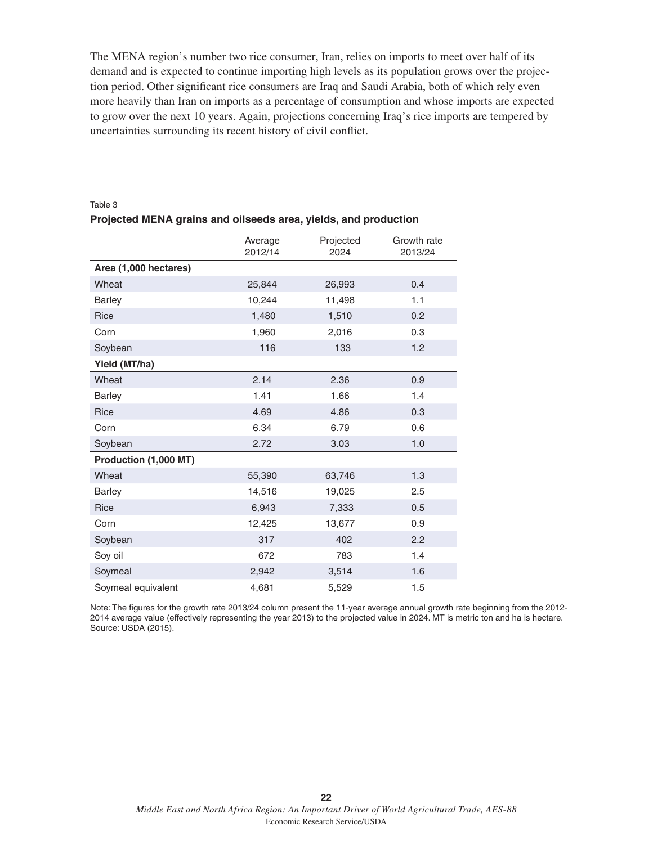The MENA region's number two rice consumer, Iran, relies on imports to meet over half of its demand and is expected to continue importing high levels as its population grows over the projection period. Other significant rice consumers are Iraq and Saudi Arabia, both of which rely even more heavily than Iran on imports as a percentage of consumption and whose imports are expected to grow over the next 10 years. Again, projections concerning Iraq's rice imports are tempered by uncertainties surrounding its recent history of civil conflict.

|                       | Average<br>2012/14 | Projected<br>2024 | Growth rate<br>2013/24 |
|-----------------------|--------------------|-------------------|------------------------|
| Area (1,000 hectares) |                    |                   |                        |
| Wheat                 | 25,844             | 26,993            | 0.4                    |
| <b>Barley</b>         | 10,244             | 11,498            | 1.1                    |
| Rice                  | 1,480              | 1,510             | 0.2                    |
| Corn                  | 1,960              | 2,016             | 0.3                    |
| Soybean               | 116                | 133               | 1.2                    |
| Yield (MT/ha)         |                    |                   |                        |
| Wheat                 | 2.14               | 2.36              | 0.9                    |
| <b>Barley</b>         | 1.41               | 1.66              | 1.4                    |
| Rice                  | 4.69               | 4.86              | 0.3                    |
| Corn                  | 6.34               | 6.79              | 0.6                    |
| Soybean               | 2.72               | 3.03              | 1.0                    |
| Production (1,000 MT) |                    |                   |                        |
| Wheat                 | 55,390             | 63,746            | 1.3                    |
| <b>Barley</b>         | 14,516             | 19,025            | 2.5                    |
| Rice                  | 6,943              | 7,333             | 0.5                    |
| Corn                  | 12,425             | 13,677            | 0.9                    |
| Soybean               | 317                | 402               | 2.2                    |
| Soy oil               | 672                | 783               | 1.4                    |
| Soymeal               | 2,942              | 3,514             | 1.6                    |
| Soymeal equivalent    | 4,681              | 5,529             | 1.5                    |

#### Table 3 **Projected MENA grains and oilseeds area, yields, and production**

Note: The figures for the growth rate 2013/24 column present the 11-year average annual growth rate beginning from the 2012- 2014 average value (effectively representing the year 2013) to the projected value in 2024. MT is metric ton and ha is hectare. Source: USDA (2015).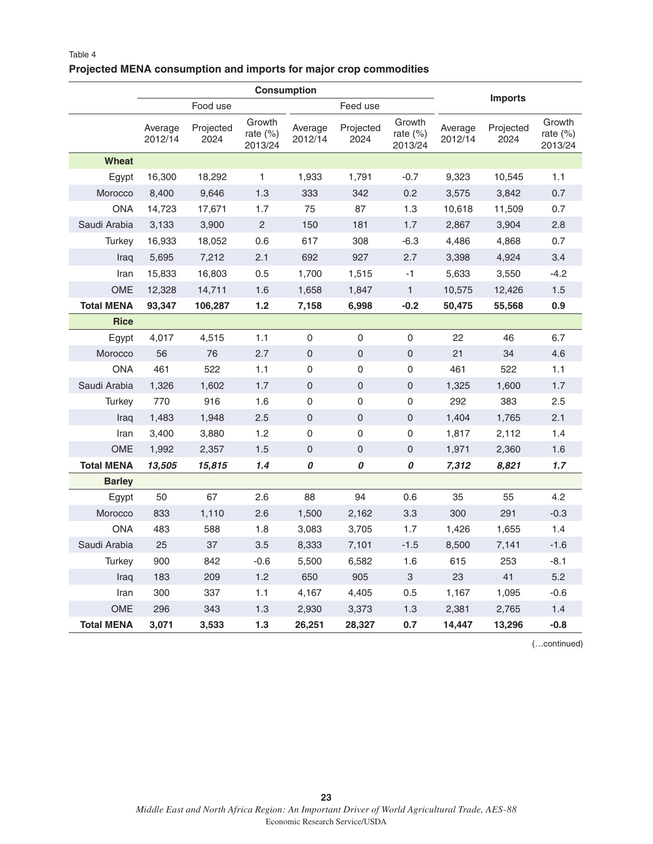### **Projected MENA consumption and imports for major crop commodities**

|                   |                    |                   | <b>Consumption</b>               |                    |                     |                               |                    |                   |                               |
|-------------------|--------------------|-------------------|----------------------------------|--------------------|---------------------|-------------------------------|--------------------|-------------------|-------------------------------|
|                   |                    | Food use          |                                  | Feed use           |                     |                               |                    | <b>Imports</b>    |                               |
|                   | Average<br>2012/14 | Projected<br>2024 | Growth<br>rate $(\%)$<br>2013/24 | Average<br>2012/14 | Projected<br>2024   | Growth<br>rate (%)<br>2013/24 | Average<br>2012/14 | Projected<br>2024 | Growth<br>rate (%)<br>2013/24 |
| <b>Wheat</b>      |                    |                   |                                  |                    |                     |                               |                    |                   |                               |
| Egypt             | 16,300             | 18,292            | 1                                | 1,933              | 1,791               | $-0.7$                        | 9,323              | 10,545            | 1.1                           |
| Morocco           | 8,400              | 9,646             | 1.3                              | 333                | 342                 | 0.2                           | 3,575              | 3,842             | 0.7                           |
| <b>ONA</b>        | 14,723             | 17,671            | 1.7                              | 75                 | 87                  | 1.3                           | 10,618             | 11,509            | 0.7                           |
| Saudi Arabia      | 3,133              | 3,900             | $\mathbf{2}$                     | 150                | 181                 | 1.7                           | 2,867              | 3,904             | 2.8                           |
| Turkey            | 16,933             | 18,052            | 0.6                              | 617                | 308                 | $-6.3$                        | 4,486              | 4,868             | 0.7                           |
| Iraq              | 5,695              | 7,212             | 2.1                              | 692                | 927                 | 2.7                           | 3,398              | 4,924             | 3.4                           |
| Iran              | 15,833             | 16,803            | 0.5                              | 1,700              | 1,515               | $-1$                          | 5,633              | 3,550             | $-4.2$                        |
| OME               | 12,328             | 14,711            | 1.6                              | 1,658              | 1,847               | $\mathbf{1}$                  | 10,575             | 12,426            | 1.5                           |
| <b>Total MENA</b> | 93,347             | 106,287           | 1.2                              | 7,158              | 6,998               | $-0.2$                        | 50,475             | 55,568            | 0.9                           |
| <b>Rice</b>       |                    |                   |                                  |                    |                     |                               |                    |                   |                               |
| Egypt             | 4,017              | 4,515             | 1.1                              | 0                  | 0                   | 0                             | 22                 | 46                | 6.7                           |
| Morocco           | 56                 | 76                | 2.7                              | $\mathbf 0$        | 0                   | 0                             | 21                 | 34                | 4.6                           |
| <b>ONA</b>        | 461                | 522               | 1.1                              | 0                  | 0                   | 0                             | 461                | 522               | 1.1                           |
| Saudi Arabia      | 1,326              | 1,602             | 1.7                              | $\mathbf 0$        | 0                   | 0                             | 1,325              | 1,600             | 1.7                           |
| Turkey            | 770                | 916               | 1.6                              | $\mathbf 0$        | 0                   | 0                             | 292                | 383               | 2.5                           |
| Iraq              | 1,483              | 1,948             | 2.5                              | $\mathbf{0}$       | $\overline{0}$      | 0                             | 1,404              | 1,765             | 2.1                           |
| Iran              | 3,400              | 3,880             | 1.2                              | 0                  | 0                   | 0                             | 1,817              | 2,112             | 1.4                           |
| OME               | 1,992              | 2,357             | 1.5                              | 0                  | $\mathsf{O}\xspace$ | 0                             | 1,971              | 2,360             | 1.6                           |
| <b>Total MENA</b> | 13,505             | 15,815            | 1.4                              | 0                  | 0                   | 0                             | 7,312              | 8,821             | 1.7                           |
| <b>Barley</b>     |                    |                   |                                  |                    |                     |                               |                    |                   |                               |
| Egypt             | 50                 | 67                | 2.6                              | 88                 | 94                  | 0.6                           | 35                 | 55                | 4.2                           |
| Morocco           | 833                | 1,110             | 2.6                              | 1,500              | 2,162               | 3.3                           | 300                | 291               | $-0.3$                        |
| <b>ONA</b>        | 483                | 588               | 1.8                              | 3,083              | 3,705               | 1.7                           | 1,426              | 1,655             | 1.4                           |
| Saudi Arabia      | 25                 | 37                | 3.5                              | 8,333              | 7,101               | $-1.5$                        | 8,500              | 7,141             | $-1.6$                        |
| <b>Turkey</b>     | 900                | 842               | $-0.6$                           | 5,500              | 6,582               | 1.6                           | 615                | 253               | $-8.1$                        |
| Iraq              | 183                | 209               | 1.2                              | 650                | 905                 | 3                             | 23                 | 41                | 5.2                           |
| Iran              | 300                | 337               | 1.1                              | 4,167              | 4,405               | 0.5                           | 1,167              | 1,095             | $-0.6$                        |
| OME               | 296                | 343               | 1.3                              | 2,930              | 3,373               | 1.3                           | 2,381              | 2,765             | 1.4                           |
| <b>Total MENA</b> | 3,071              | 3,533             | $1.3$                            | 26,251             | 28,327              | 0.7                           | 14,447             | 13,296            | $-0.8$                        |

(…continued)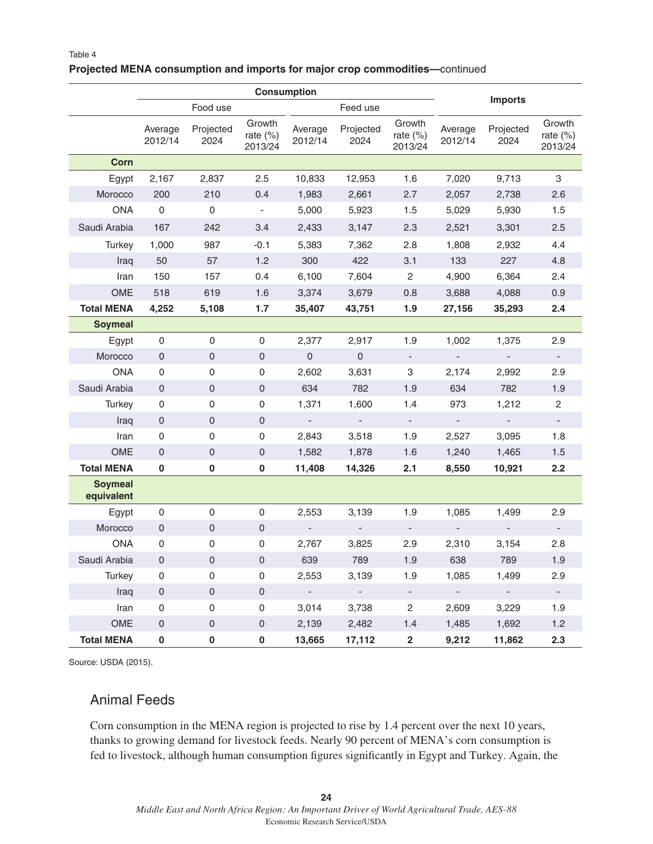#### **Projected MENA consumption and imports for major crop commodities—**continued

|                              | <b>Consumption</b>  |                     |                                  |                             |                          |                                  |                    |                          |                                  |
|------------------------------|---------------------|---------------------|----------------------------------|-----------------------------|--------------------------|----------------------------------|--------------------|--------------------------|----------------------------------|
|                              |                     | Food use            |                                  |                             | Feed use                 |                                  |                    | <b>Imports</b>           |                                  |
|                              | Average<br>2012/14  | Projected<br>2024   | Growth<br>rate $(\%)$<br>2013/24 | Average<br>2012/14          | Projected<br>2024        | Growth<br>rate $(\%)$<br>2013/24 | Average<br>2012/14 | Projected<br>2024        | Growth<br>rate $(\%)$<br>2013/24 |
| Corn                         |                     |                     |                                  |                             |                          |                                  |                    |                          |                                  |
| Egypt                        | 2,167               | 2,837               | 2.5                              | 10,833                      | 12,953                   | 1.6                              | 7,020              | 9,713                    | 3                                |
| Morocco                      | 200                 | 210                 | 0.4                              | 1,983                       | 2,661                    | 2.7                              | 2,057              | 2,738                    | 2.6                              |
| <b>ONA</b>                   | $\mathbf 0$         | $\mathsf{O}\xspace$ | ۰                                | 5,000                       | 5,923                    | 1.5                              | 5,029              | 5,930                    | 1.5                              |
| Saudi Arabia                 | 167                 | 242                 | 3.4                              | 2,433                       | 3,147                    | 2.3                              | 2,521              | 3,301                    | 2.5                              |
| Turkey                       | 1,000               | 987                 | $-0.1$                           | 5,383                       | 7,362                    | 2.8                              | 1,808              | 2,932                    | 4.4                              |
| Iraq                         | 50                  | 57                  | 1.2                              | 300                         | 422                      | 3.1                              | 133                | 227                      | 4.8                              |
| Iran                         | 150                 | 157                 | 0.4                              | 6,100                       | 7,604                    | $\mathbf{2}$                     | 4,900              | 6,364                    | 2.4                              |
| <b>OME</b>                   | 518                 | 619                 | 1.6                              | 3,374                       | 3,679                    | 0.8                              | 3,688              | 4,088                    | 0.9                              |
| <b>Total MENA</b>            | 4,252               | 5,108               | 1.7                              | 35,407                      | 43,751                   | 1.9                              | 27,156             | 35,293                   | 2.4                              |
| <b>Soymeal</b>               |                     |                     |                                  |                             |                          |                                  |                    |                          |                                  |
| Egypt                        | $\mathsf 0$         | $\mathsf{O}\xspace$ | 0                                | 2,377                       | 2,917                    | 1.9                              | 1,002              | 1,375                    | 2.9                              |
| Morocco                      | $\mathbf 0$         | $\mathbf 0$         | $\mathsf{O}\xspace$              | $\mathbf 0$                 | $\mathsf{O}\xspace$      |                                  |                    |                          |                                  |
| <b>ONA</b>                   | 0                   | 0                   | 0                                | 2,602                       | 3,631                    | 3                                | 2,174              | 2,992                    | 2.9                              |
| Saudi Arabia                 | $\mathsf{O}\xspace$ | $\mathsf{O}\xspace$ | $\mathsf{O}\xspace$              | 634                         | 782                      | 1.9                              | 634                | 782                      | 1.9                              |
| Turkey                       | 0                   | 0                   | 0                                | 1,371                       | 1,600                    | 1.4                              | 973                | 1,212                    | 2                                |
| Iraq                         | $\mathbf 0$         | $\pmb{0}$           | $\mathsf{O}\xspace$              | $\mathcal{L}_{\mathcal{A}}$ | $\overline{\phantom{a}}$ |                                  |                    | $\blacksquare$           |                                  |
| Iran                         | 0                   | 0                   | 0                                | 2,843                       | 3,518                    | 1.9                              | 2,527              | 3,095                    | 1.8                              |
| OME                          | $\pmb{0}$           | $\mathsf{O}\xspace$ | $\mathsf{O}\xspace$              | 1,582                       | 1,878                    | 1.6                              | 1,240              | 1,465                    | 1.5                              |
| <b>Total MENA</b>            | 0                   | 0                   | 0                                | 11,408                      | 14,326                   | 2.1                              | 8,550              | 10,921                   | 2.2                              |
| <b>Soymeal</b><br>equivalent |                     |                     |                                  |                             |                          |                                  |                    |                          |                                  |
| Egypt                        | 0                   | 0                   | 0                                | 2,553                       | 3,139                    | 1.9                              | 1,085              | 1,499                    | 2.9                              |
| Morocco                      | $\mathbf 0$         | $\pmb{0}$           | 0                                | $\overline{\phantom{a}}$    | $\blacksquare$           | $\overline{\phantom{a}}$         | $\blacksquare$     | $\overline{\phantom{a}}$ | $\overline{\phantom{a}}$         |
| <b>ONA</b>                   | 0                   | 0                   | 0                                | 2,767                       | 3,825                    | 2.9                              | 2,310              | 3,154                    | 2.8                              |
| Saudi Arabia                 | 0                   | $\mathbf 0$         | 0                                | 639                         | 789                      | 1.9                              | 638                | 789                      | 1.9                              |
| Turkey                       | 0                   | 0                   | 0                                | 2,553                       | 3,139                    | 1.9                              | 1,085              | 1,499                    | 2.9                              |
| Iraq                         | $\mathsf{O}\xspace$ | $\mathsf{O}\xspace$ | $\mathsf{O}\xspace$              | $\omega$                    | $\omega_{\rm c}$         | $\sim$                           | $\omega_{\rm c}$   | $\sim$                   | $\Box$                           |
| Iran                         | $\mathsf 0$         | 0                   | 0                                | 3,014                       | 3,738                    | $\overline{c}$                   | 2,609              | 3,229                    | 1.9                              |
| OME                          | $\mathsf{O}\xspace$ | $\mathsf{O}\xspace$ | $\mathsf{O}\xspace$              | 2,139                       | 2,482                    | 1.4                              | 1,485              | 1,692                    | 1.2                              |
| <b>Total MENA</b>            | $\pmb{0}$           | $\pmb{0}$           | 0                                | 13,665                      | 17,112                   | $\overline{\mathbf{2}}$          | 9,212              | 11,862                   | 2.3                              |

Source: USDA (2015).

### Animal Feeds

Corn consumption in the MENA region is projected to rise by 1.4 percent over the next 10 years, thanks to growing demand for livestock feeds. Nearly 90 percent of MENA's corn consumption is fed to livestock, although human consumption figures significantly in Egypt and Turkey. Again, the

**24** *Middle East and North Africa Region: An Important Driver of World Agricultural Trade, AES-88* Economic Research Service/USDA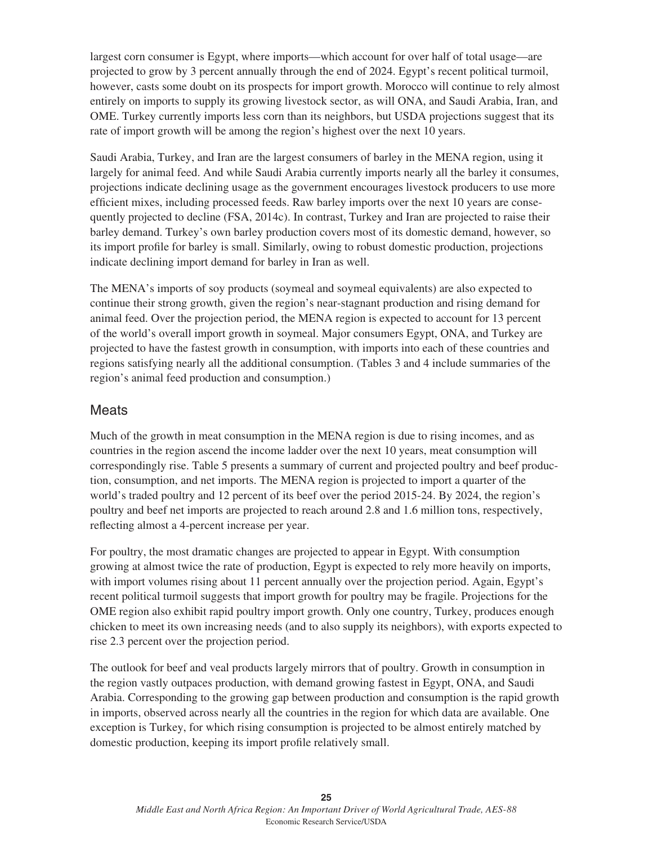largest corn consumer is Egypt, where imports—which account for over half of total usage—are projected to grow by 3 percent annually through the end of 2024. Egypt's recent political turmoil, however, casts some doubt on its prospects for import growth. Morocco will continue to rely almost entirely on imports to supply its growing livestock sector, as will ONA, and Saudi Arabia, Iran, and OME. Turkey currently imports less corn than its neighbors, but USDA projections suggest that its rate of import growth will be among the region's highest over the next 10 years.

Saudi Arabia, Turkey, and Iran are the largest consumers of barley in the MENA region, using it largely for animal feed. And while Saudi Arabia currently imports nearly all the barley it consumes, projections indicate declining usage as the government encourages livestock producers to use more efficient mixes, including processed feeds. Raw barley imports over the next 10 years are consequently projected to decline (FSA, 2014c). In contrast, Turkey and Iran are projected to raise their barley demand. Turkey's own barley production covers most of its domestic demand, however, so its import profile for barley is small. Similarly, owing to robust domestic production, projections indicate declining import demand for barley in Iran as well.

The MENA's imports of soy products (soymeal and soymeal equivalents) are also expected to continue their strong growth, given the region's near-stagnant production and rising demand for animal feed. Over the projection period, the MENA region is expected to account for 13 percent of the world's overall import growth in soymeal. Major consumers Egypt, ONA, and Turkey are projected to have the fastest growth in consumption, with imports into each of these countries and regions satisfying nearly all the additional consumption. (Tables 3 and 4 include summaries of the region's animal feed production and consumption.)

### **Meats**

Much of the growth in meat consumption in the MENA region is due to rising incomes, and as countries in the region ascend the income ladder over the next 10 years, meat consumption will correspondingly rise. Table 5 presents a summary of current and projected poultry and beef production, consumption, and net imports. The MENA region is projected to import a quarter of the world's traded poultry and 12 percent of its beef over the period 2015-24. By 2024, the region's poultry and beef net imports are projected to reach around 2.8 and 1.6 million tons, respectively, reflecting almost a 4-percent increase per year.

For poultry, the most dramatic changes are projected to appear in Egypt. With consumption growing at almost twice the rate of production, Egypt is expected to rely more heavily on imports, with import volumes rising about 11 percent annually over the projection period. Again, Egypt's recent political turmoil suggests that import growth for poultry may be fragile. Projections for the OME region also exhibit rapid poultry import growth. Only one country, Turkey, produces enough chicken to meet its own increasing needs (and to also supply its neighbors), with exports expected to rise 2.3 percent over the projection period.

The outlook for beef and veal products largely mirrors that of poultry. Growth in consumption in the region vastly outpaces production, with demand growing fastest in Egypt, ONA, and Saudi Arabia. Corresponding to the growing gap between production and consumption is the rapid growth in imports, observed across nearly all the countries in the region for which data are available. One exception is Turkey, for which rising consumption is projected to be almost entirely matched by domestic production, keeping its import profile relatively small.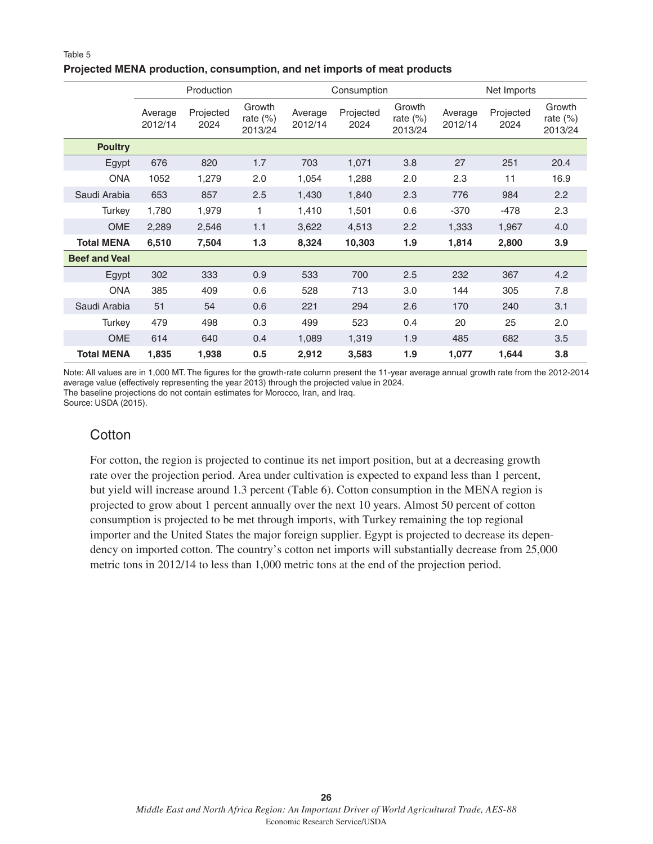#### **Projected MENA production, consumption, and net imports of meat products**

|                      | Production         |                   |                                  |                    | Consumption       |                                  |                    | Net Imports       |                                  |  |
|----------------------|--------------------|-------------------|----------------------------------|--------------------|-------------------|----------------------------------|--------------------|-------------------|----------------------------------|--|
|                      | Average<br>2012/14 | Projected<br>2024 | Growth<br>rate $(\%)$<br>2013/24 | Average<br>2012/14 | Projected<br>2024 | Growth<br>rate $(\%)$<br>2013/24 | Average<br>2012/14 | Projected<br>2024 | Growth<br>rate $(\%)$<br>2013/24 |  |
| <b>Poultry</b>       |                    |                   |                                  |                    |                   |                                  |                    |                   |                                  |  |
| Egypt                | 676                | 820               | 1.7                              | 703                | 1,071             | 3.8                              | 27                 | 251               | 20.4                             |  |
| <b>ONA</b>           | 1052               | 1,279             | 2.0                              | 1,054              | 1,288             | 2.0                              | 2.3                | 11                | 16.9                             |  |
| Saudi Arabia         | 653                | 857               | 2.5                              | 1,430              | 1,840             | 2.3                              | 776                | 984               | 2.2                              |  |
| Turkey               | 1,780              | 1,979             | 1                                | 1,410              | 1,501             | 0.6                              | $-370$             | $-478$            | 2.3                              |  |
| <b>OME</b>           | 2,289              | 2,546             | 1.1                              | 3,622              | 4,513             | 2.2                              | 1,333              | 1,967             | 4.0                              |  |
| <b>Total MENA</b>    | 6,510              | 7,504             | 1.3                              | 8,324              | 10,303            | 1.9                              | 1,814              | 2,800             | 3.9                              |  |
| <b>Beef and Veal</b> |                    |                   |                                  |                    |                   |                                  |                    |                   |                                  |  |
| Egypt                | 302                | 333               | 0.9                              | 533                | 700               | 2.5                              | 232                | 367               | 4.2                              |  |
| <b>ONA</b>           | 385                | 409               | 0.6                              | 528                | 713               | 3.0                              | 144                | 305               | 7.8                              |  |
| Saudi Arabia         | 51                 | 54                | 0.6                              | 221                | 294               | 2.6                              | 170                | 240               | 3.1                              |  |
| Turkey               | 479                | 498               | 0.3                              | 499                | 523               | 0.4                              | 20                 | 25                | 2.0                              |  |
| <b>OME</b>           | 614                | 640               | 0.4                              | 1,089              | 1,319             | 1.9                              | 485                | 682               | 3.5                              |  |
| <b>Total MENA</b>    | 1,835              | 1,938             | 0.5                              | 2,912              | 3,583             | 1.9                              | 1,077              | 1,644             | 3.8                              |  |

Note: All values are in 1,000 MT. The figures for the growth-rate column present the 11-year average annual growth rate from the 2012-2014 average value (effectively representing the year 2013) through the projected value in 2024. The baseline projections do not contain estimates for Morocco, Iran, and Iraq.

Source: USDA (2015).

## **Cotton**

For cotton, the region is projected to continue its net import position, but at a decreasing growth rate over the projection period. Area under cultivation is expected to expand less than 1 percent, but yield will increase around 1.3 percent (Table 6). Cotton consumption in the MENA region is projected to grow about 1 percent annually over the next 10 years. Almost 50 percent of cotton consumption is projected to be met through imports, with Turkey remaining the top regional importer and the United States the major foreign supplier. Egypt is projected to decrease its dependency on imported cotton. The country's cotton net imports will substantially decrease from 25,000 metric tons in 2012/14 to less than 1,000 metric tons at the end of the projection period.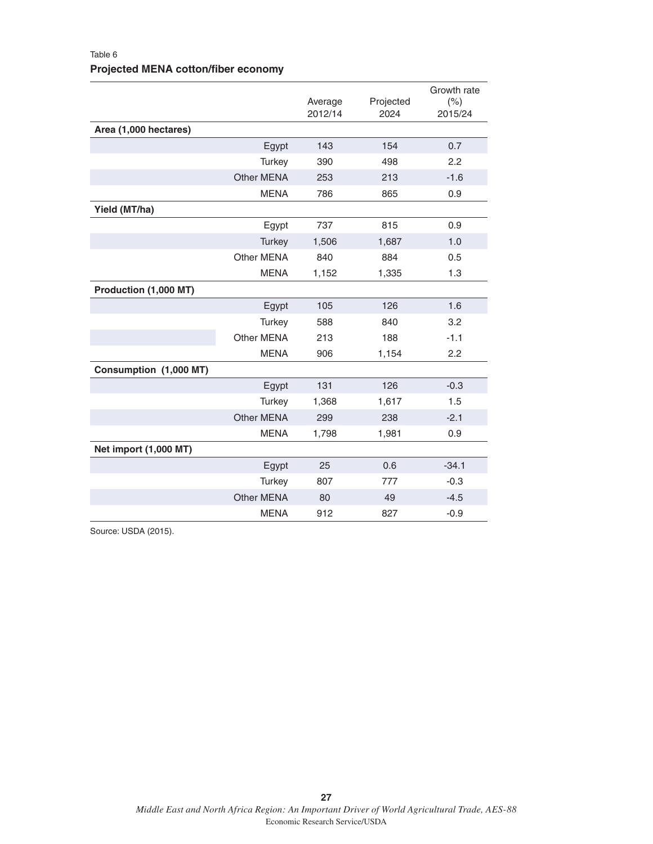### Table 6 **Projected MENA cotton/fiber economy**

|                        |                   | Average<br>2012/14 | Projected<br>2024 | Growth rate<br>(% )<br>2015/24 |
|------------------------|-------------------|--------------------|-------------------|--------------------------------|
| Area (1,000 hectares)  |                   |                    |                   |                                |
|                        | Egypt             | 143                | 154               | 0.7                            |
|                        | Turkey            | 390                | 498               | 2.2                            |
|                        | Other MENA        | 253                | 213               | $-1.6$                         |
|                        | <b>MENA</b>       | 786                | 865               | 0.9                            |
| Yield (MT/ha)          |                   |                    |                   |                                |
|                        | Egypt             | 737                | 815               | 0.9                            |
|                        | <b>Turkey</b>     | 1,506              | 1,687             | 1.0                            |
|                        | <b>Other MENA</b> | 840                | 884               | 0.5                            |
|                        | <b>MENA</b>       | 1,152              | 1,335             | 1.3                            |
| Production (1,000 MT)  |                   |                    |                   |                                |
|                        | Egypt             | 105                | 126               | 1.6                            |
|                        | Turkey            | 588                | 840               | 3.2                            |
|                        | Other MENA        | 213                | 188               | $-1.1$                         |
|                        | <b>MENA</b>       | 906                | 1,154             | 2.2                            |
| Consumption (1,000 MT) |                   |                    |                   |                                |
|                        | Egypt             | 131                | 126               | $-0.3$                         |
|                        | Turkey            | 1,368              | 1,617             | 1.5                            |
|                        | Other MENA        | 299                | 238               | $-2.1$                         |
|                        | <b>MENA</b>       | 1,798              | 1,981             | 0.9                            |
| Net import (1,000 MT)  |                   |                    |                   |                                |
|                        | Egypt             | 25                 | 0.6               | $-34.1$                        |
|                        | Turkey            | 807                | 777               | $-0.3$                         |
|                        | <b>Other MENA</b> | 80                 | 49                | $-4.5$                         |
|                        | <b>MENA</b>       | 912                | 827               | $-0.9$                         |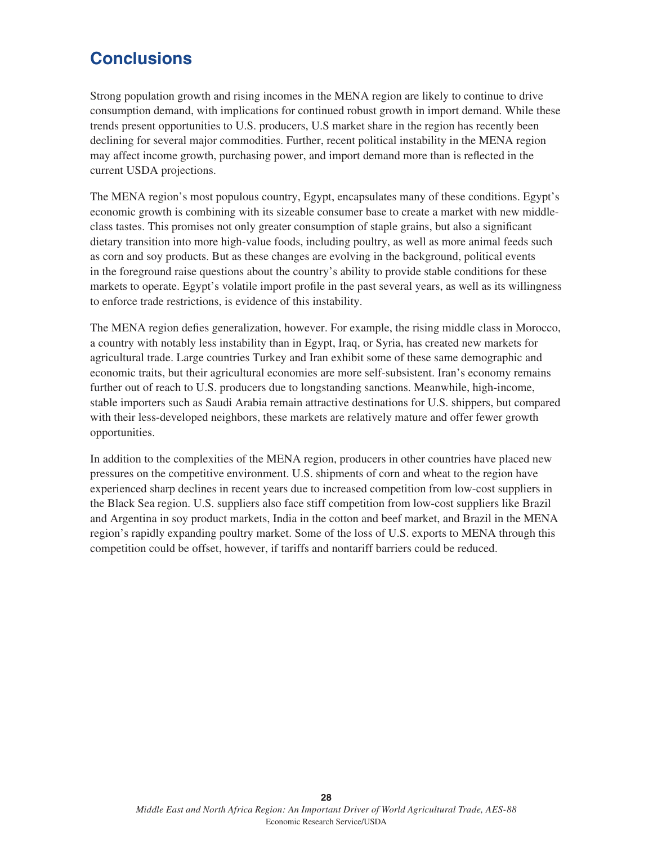## **Conclusions**

Strong population growth and rising incomes in the MENA region are likely to continue to drive consumption demand, with implications for continued robust growth in import demand. While these trends present opportunities to U.S. producers, U.S market share in the region has recently been declining for several major commodities. Further, recent political instability in the MENA region may affect income growth, purchasing power, and import demand more than is reflected in the current USDA projections.

The MENA region's most populous country, Egypt, encapsulates many of these conditions. Egypt's economic growth is combining with its sizeable consumer base to create a market with new middleclass tastes. This promises not only greater consumption of staple grains, but also a significant dietary transition into more high-value foods, including poultry, as well as more animal feeds such as corn and soy products. But as these changes are evolving in the background, political events in the foreground raise questions about the country's ability to provide stable conditions for these markets to operate. Egypt's volatile import profile in the past several years, as well as its willingness to enforce trade restrictions, is evidence of this instability.

The MENA region defies generalization, however. For example, the rising middle class in Morocco, a country with notably less instability than in Egypt, Iraq, or Syria, has created new markets for agricultural trade. Large countries Turkey and Iran exhibit some of these same demographic and economic traits, but their agricultural economies are more self-subsistent. Iran's economy remains further out of reach to U.S. producers due to longstanding sanctions. Meanwhile, high-income, stable importers such as Saudi Arabia remain attractive destinations for U.S. shippers, but compared with their less-developed neighbors, these markets are relatively mature and offer fewer growth opportunities.

In addition to the complexities of the MENA region, producers in other countries have placed new pressures on the competitive environment. U.S. shipments of corn and wheat to the region have experienced sharp declines in recent years due to increased competition from low-cost suppliers in the Black Sea region. U.S. suppliers also face stiff competition from low-cost suppliers like Brazil and Argentina in soy product markets, India in the cotton and beef market, and Brazil in the MENA region's rapidly expanding poultry market. Some of the loss of U.S. exports to MENA through this competition could be offset, however, if tariffs and nontariff barriers could be reduced.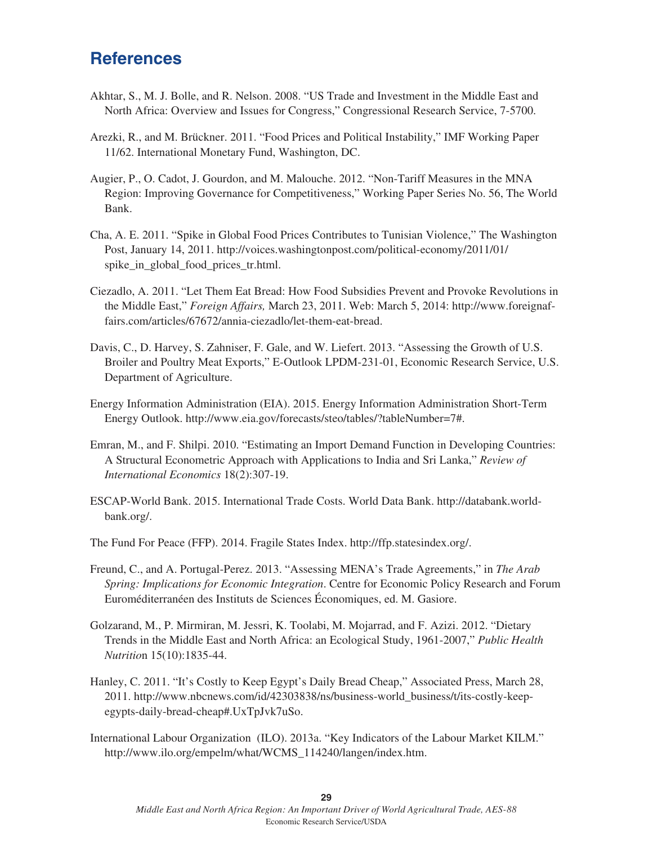## **References**

- Akhtar, S., M. J. Bolle, and R. Nelson. 2008. "US Trade and Investment in the Middle East and North Africa: Overview and Issues for Congress," Congressional Research Service, 7-5700.
- Arezki, R., and M. Brückner. 2011. "Food Prices and Political Instability," IMF Working Paper 11/62. International Monetary Fund, Washington, DC.
- Augier, P., O. Cadot, J. Gourdon, and M. Malouche. 2012. "Non-Tariff Measures in the MNA Region: Improving Governance for Competitiveness," Working Paper Series No. 56, The World Bank.
- Cha, A. E. 2011. "Spike in Global Food Prices Contributes to Tunisian Violence," The Washington Post, January 14, 2011. http://voices.washingtonpost.com/political-economy/2011/01/ spike in global food prices tr.html.
- Ciezadlo, A. 2011. "Let Them Eat Bread: How Food Subsidies Prevent and Provoke Revolutions in the Middle East," *Foreign Affairs,* March 23, 2011. Web: March 5, 2014: http://www.foreignaffairs.com/articles/67672/annia-ciezadlo/let-them-eat-bread.
- Davis, C., D. Harvey, S. Zahniser, F. Gale, and W. Liefert. 2013. "Assessing the Growth of U.S. Broiler and Poultry Meat Exports," E-Outlook LPDM-231-01, Economic Research Service, U.S. Department of Agriculture.
- Energy Information Administration (EIA). 2015. Energy Information Administration Short-Term Energy Outlook. http://www.eia.gov/forecasts/steo/tables/?tableNumber=7#.
- Emran, M., and F. Shilpi. 2010. "Estimating an Import Demand Function in Developing Countries: A Structural Econometric Approach with Applications to India and Sri Lanka," *Review of International Economics* 18(2):307-19.
- ESCAP-World Bank. 2015. International Trade Costs. World Data Bank. http://databank.worldbank.org/.
- The Fund For Peace (FFP). 2014. Fragile States Index. http://ffp.statesindex.org/.
- Freund, C., and A. Portugal-Perez. 2013. "Assessing MENA's Trade Agreements," in *The Arab Spring: Implications for Economic Integration*. Centre for Economic Policy Research and Forum Euroméditerranéen des Instituts de Sciences Économiques, ed. M. Gasiore.
- Golzarand, M., P. Mirmiran, M. Jessri, K. Toolabi, M. Mojarrad, and F. Azizi. 2012. "Dietary Trends in the Middle East and North Africa: an Ecological Study, 1961-2007," *Public Health Nutritio*n 15(10):1835-44.
- Hanley, C. 2011. "It's Costly to Keep Egypt's Daily Bread Cheap," Associated Press, March 28, 2011. http://www.nbcnews.com/id/42303838/ns/business-world\_business/t/its-costly-keepegypts-daily-bread-cheap#.UxTpJvk7uSo.
- International Labour Organization (ILO). 2013a. "Key Indicators of the Labour Market KILM." http://www.ilo.org/empelm/what/WCMS\_114240/langen/index.htm.

*Middle East and North Africa Region: An Important Driver of World Agricultural Trade, AES-88* Economic Research Service/USDA

**29**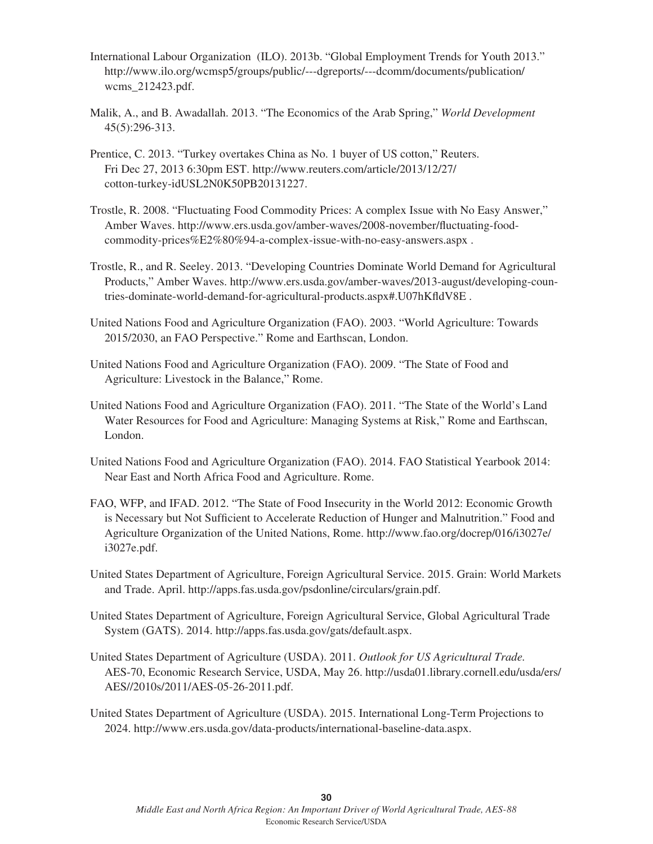- International Labour Organization (ILO). 2013b. "Global Employment Trends for Youth 2013." http://www.ilo.org/wcmsp5/groups/public/---dgreports/---dcomm/documents/publication/ wcms\_212423.pdf.
- Malik, A., and B. Awadallah. 2013. "The Economics of the Arab Spring," *World Development* 45(5):296-313.
- Prentice, C. 2013. "Turkey overtakes China as No. 1 buyer of US cotton," Reuters. Fri Dec 27, 2013 6:30pm EST. http://www.reuters.com/article/2013/12/27/ cotton-turkey-idUSL2N0K50PB20131227.
- Trostle, R. 2008. "Fluctuating Food Commodity Prices: A complex Issue with No Easy Answer," Amber Waves. http://www.ers.usda.gov/amber-waves/2008-november/fluctuating-foodcommodity-prices%E2%80%94-a-complex-issue-with-no-easy-answers.aspx .
- Trostle, R., and R. Seeley. 2013. "Developing Countries Dominate World Demand for Agricultural Products," Amber Waves. http://www.ers.usda.gov/amber-waves/2013-august/developing-countries-dominate-world-demand-for-agricultural-products.aspx#.U07hKfldV8E .
- United Nations Food and Agriculture Organization (FAO). 2003. "World Agriculture: Towards 2015/2030, an FAO Perspective." Rome and Earthscan, London.
- United Nations Food and Agriculture Organization (FAO). 2009. "The State of Food and Agriculture: Livestock in the Balance," Rome.
- United Nations Food and Agriculture Organization (FAO). 2011. "The State of the World's Land Water Resources for Food and Agriculture: Managing Systems at Risk," Rome and Earthscan, London.
- United Nations Food and Agriculture Organization (FAO). 2014. FAO Statistical Yearbook 2014: Near East and North Africa Food and Agriculture. Rome.
- FAO, WFP, and IFAD. 2012. "The State of Food Insecurity in the World 2012: Economic Growth is Necessary but Not Sufficient to Accelerate Reduction of Hunger and Malnutrition." Food and Agriculture Organization of the United Nations, Rome. http://www.fao.org/docrep/016/i3027e/ i3027e.pdf.
- United States Department of Agriculture, Foreign Agricultural Service. 2015. Grain: World Markets and Trade. April. http://apps.fas.usda.gov/psdonline/circulars/grain.pdf.
- United States Department of Agriculture, Foreign Agricultural Service, Global Agricultural Trade System (GATS). 2014. http://apps.fas.usda.gov/gats/default.aspx.
- United States Department of Agriculture (USDA). 2011. *Outlook for US Agricultural Trade.* AES-70, Economic Research Service, USDA, May 26. http://usda01.library.cornell.edu/usda/ers/ AES//2010s/2011/AES-05-26-2011.pdf.
- United States Department of Agriculture (USDA). 2015. International Long-Term Projections to 2024. http://www.ers.usda.gov/data-products/international-baseline-data.aspx.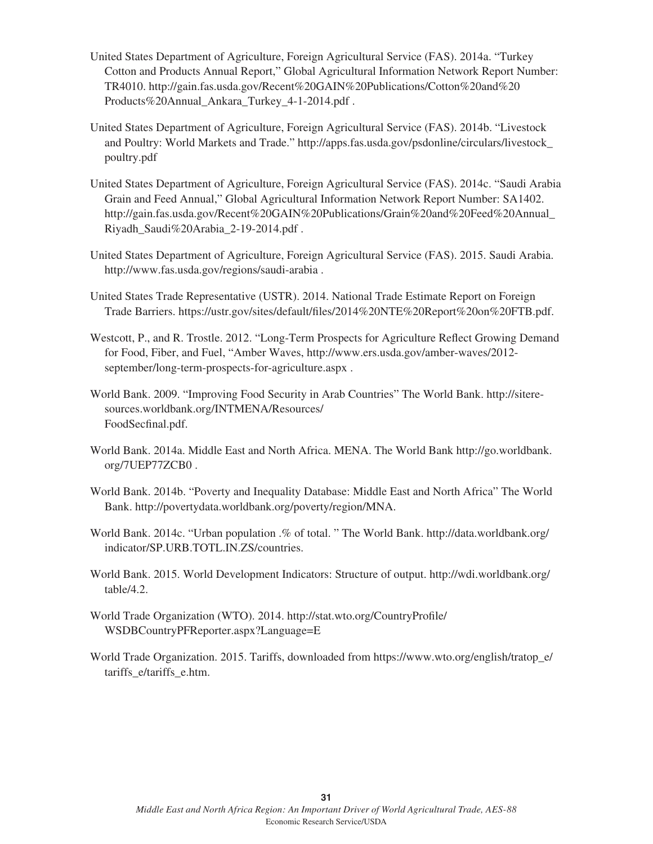- United States Department of Agriculture, Foreign Agricultural Service (FAS). 2014a. "Turkey Cotton and Products Annual Report," Global Agricultural Information Network Report Number: TR4010. http://gain.fas.usda.gov/Recent%20GAIN%20Publications/Cotton%20and%20 Products%20Annual\_Ankara\_Turkey\_4-1-2014.pdf .
- United States Department of Agriculture, Foreign Agricultural Service (FAS). 2014b. "Livestock and Poultry: World Markets and Trade." http://apps.fas.usda.gov/psdonline/circulars/livestock\_ poultry.pdf
- United States Department of Agriculture, Foreign Agricultural Service (FAS). 2014c. "Saudi Arabia Grain and Feed Annual," Global Agricultural Information Network Report Number: SA1402. http://gain.fas.usda.gov/Recent%20GAIN%20Publications/Grain%20and%20Feed%20Annual\_ Riyadh\_Saudi%20Arabia\_2-19-2014.pdf .
- United States Department of Agriculture, Foreign Agricultural Service (FAS). 2015. Saudi Arabia. http://www.fas.usda.gov/regions/saudi-arabia .
- United States Trade Representative (USTR). 2014. National Trade Estimate Report on Foreign Trade Barriers. https://ustr.gov/sites/default/files/2014%20NTE%20Report%20on%20FTB.pdf.
- Westcott, P., and R. Trostle. 2012. "Long-Term Prospects for Agriculture Reflect Growing Demand for Food, Fiber, and Fuel, "Amber Waves, http://www.ers.usda.gov/amber-waves/2012 september/long-term-prospects-for-agriculture.aspx .
- World Bank. 2009. "Improving Food Security in Arab Countries" The World Bank. http://siteresources.worldbank.org/INTMENA/Resources/ FoodSecfinal.pdf.
- World Bank. 2014a. Middle East and North Africa. MENA. The World Bank http://go.worldbank. org/7UEP77ZCB0 .
- World Bank. 2014b. "Poverty and Inequality Database: Middle East and North Africa" The World Bank. http://povertydata.worldbank.org/poverty/region/MNA.
- World Bank. 2014c. "Urban population .% of total. " The World Bank. http://data.worldbank.org/ indicator/SP.URB.TOTL.IN.ZS/countries.
- World Bank. 2015. World Development Indicators: Structure of output. http://wdi.worldbank.org/ table/4.2.
- World Trade Organization (WTO). 2014. http://stat.wto.org/CountryProfile/ WSDBCountryPFReporter.aspx?Language=E
- World Trade Organization. 2015. Tariffs, downloaded from https://www.wto.org/english/tratop\_e/ tariffs\_e/tariffs\_e.htm.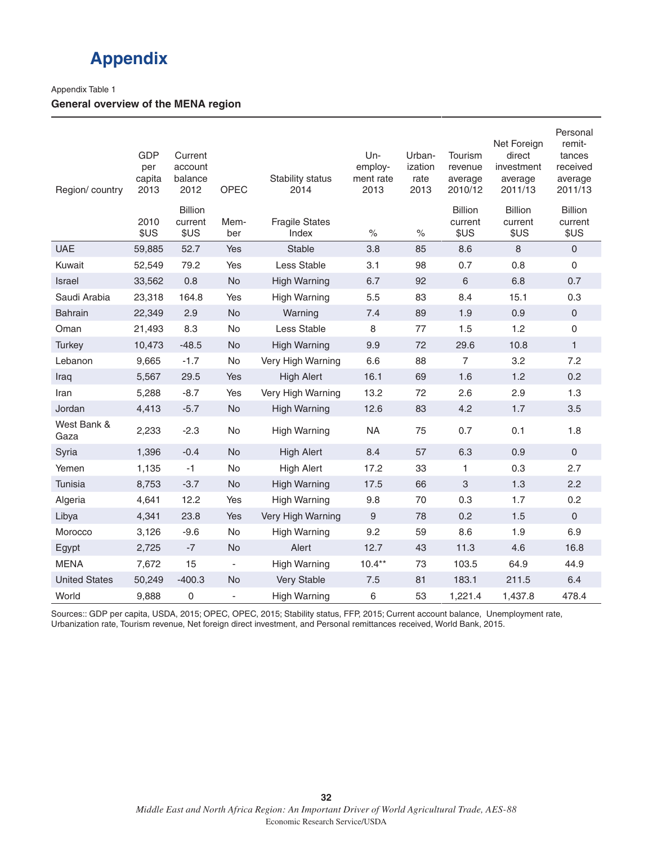## **Appendix**

#### Appendix Table 1

#### **General overview of the MENA region**

| Region/country       | <b>GDP</b><br>per<br>capita<br>2013 | Current<br>account<br>balance<br>2012 | <b>OPEC</b>              | Stability status<br>2014       | Un-<br>employ-<br>ment rate<br>2013 | Urban-<br>ization<br>rate<br>2013 | Tourism<br>revenue<br>average<br>2010/12 | Net Foreign<br>direct<br>investment<br>average<br>2011/13 | Personal<br>remit-<br>tances<br>received<br>average<br>2011/13 |
|----------------------|-------------------------------------|---------------------------------------|--------------------------|--------------------------------|-------------------------------------|-----------------------------------|------------------------------------------|-----------------------------------------------------------|----------------------------------------------------------------|
|                      | 2010<br>\$US                        | <b>Billion</b><br>current<br>\$US     | Mem-<br>ber              | <b>Fragile States</b><br>Index | $\%$                                | $\%$                              | <b>Billion</b><br>current<br>\$US        | <b>Billion</b><br>current<br>\$US                         | <b>Billion</b><br>current<br>\$US                              |
| <b>UAE</b>           | 59,885                              | 52.7                                  | Yes                      | Stable                         | 3.8                                 | 85                                | 8.6                                      | 8                                                         | $\mathsf{O}\xspace$                                            |
| Kuwait               | 52,549                              | 79.2                                  | Yes                      | Less Stable                    | 3.1                                 | 98                                | 0.7                                      | 0.8                                                       | 0                                                              |
| Israel               | 33,562                              | 0.8                                   | <b>No</b>                | <b>High Warning</b>            | 6.7                                 | 92                                | $\,6\,$                                  | 6.8                                                       | 0.7                                                            |
| Saudi Arabia         | 23,318                              | 164.8                                 | Yes                      | <b>High Warning</b>            | 5.5                                 | 83                                | 8.4                                      | 15.1                                                      | 0.3                                                            |
| <b>Bahrain</b>       | 22,349                              | 2.9                                   | <b>No</b>                | Warning                        | 7.4                                 | 89                                | 1.9                                      | 0.9                                                       | $\mathsf{O}\xspace$                                            |
| Oman                 | 21,493                              | 8.3                                   | No                       | Less Stable                    | 8                                   | 77                                | 1.5                                      | 1.2                                                       | 0                                                              |
| <b>Turkey</b>        | 10,473                              | $-48.5$                               | <b>No</b>                | <b>High Warning</b>            | 9.9                                 | 72                                | 29.6                                     | 10.8                                                      | $\mathbf{1}$                                                   |
| Lebanon              | 9,665                               | $-1.7$                                | <b>No</b>                | Very High Warning              | 6.6                                 | 88                                | $\overline{7}$                           | 3.2                                                       | 7.2                                                            |
| Iraq                 | 5,567                               | 29.5                                  | Yes                      | <b>High Alert</b>              | 16.1                                | 69                                | 1.6                                      | 1.2                                                       | 0.2                                                            |
| Iran                 | 5,288                               | $-8.7$                                | Yes                      | Very High Warning              | 13.2                                | 72                                | 2.6                                      | 2.9                                                       | 1.3                                                            |
| Jordan               | 4,413                               | $-5.7$                                | No                       | <b>High Warning</b>            | 12.6                                | 83                                | 4.2                                      | 1.7                                                       | 3.5                                                            |
| West Bank &<br>Gaza  | 2,233                               | $-2.3$                                | No                       | <b>High Warning</b>            | <b>NA</b>                           | 75                                | 0.7                                      | 0.1                                                       | 1.8                                                            |
| Syria                | 1,396                               | $-0.4$                                | <b>No</b>                | <b>High Alert</b>              | 8.4                                 | 57                                | 6.3                                      | 0.9                                                       | 0                                                              |
| Yemen                | 1,135                               | $-1$                                  | No                       | <b>High Alert</b>              | 17.2                                | 33                                | $\mathbf{1}$                             | 0.3                                                       | 2.7                                                            |
| Tunisia              | 8,753                               | $-3.7$                                | <b>No</b>                | <b>High Warning</b>            | 17.5                                | 66                                | 3                                        | 1.3                                                       | 2.2                                                            |
| Algeria              | 4,641                               | 12.2                                  | Yes                      | <b>High Warning</b>            | 9.8                                 | 70                                | 0.3                                      | 1.7                                                       | 0.2                                                            |
| Libya                | 4,341                               | 23.8                                  | Yes                      | Very High Warning              | $\boldsymbol{9}$                    | 78                                | 0.2                                      | 1.5                                                       | 0                                                              |
| Morocco              | 3,126                               | $-9.6$                                | No                       | <b>High Warning</b>            | 9.2                                 | 59                                | 8.6                                      | 1.9                                                       | 6.9                                                            |
| Egypt                | 2,725                               | $-7$                                  | No                       | Alert                          | 12.7                                | 43                                | 11.3                                     | 4.6                                                       | 16.8                                                           |
| <b>MENA</b>          | 7,672                               | 15                                    | $\overline{\phantom{a}}$ | <b>High Warning</b>            | $10.4***$                           | 73                                | 103.5                                    | 64.9                                                      | 44.9                                                           |
| <b>United States</b> | 50,249                              | $-400.3$                              | <b>No</b>                | Very Stable                    | 7.5                                 | 81                                | 183.1                                    | 211.5                                                     | 6.4                                                            |
| World                | 9,888                               | 0                                     | $\overline{\phantom{a}}$ | <b>High Warning</b>            | 6                                   | 53                                | 1,221.4                                  | 1,437.8                                                   | 478.4                                                          |

Sources:: GDP per capita, USDA, 2015; OPEC, OPEC, 2015; Stability status, FFP, 2015; Current account balance, Unemployment rate, Urbanization rate, Tourism revenue, Net foreign direct investment, and Personal remittances received, World Bank, 2015.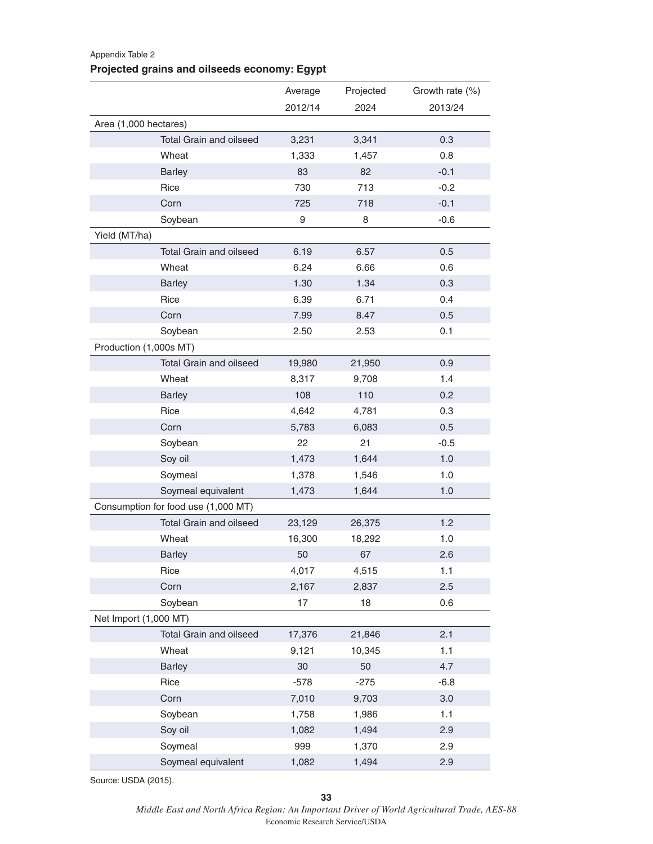## Average Projected Growth rate (%) 2012/14 2024 2013/24 Area (1,000 hectares) Total Grain and oilseed 3,231 3,341 0.3 Wheat **1,333** 1,457 0.8 Barley 83 82 -0.1 Rice 730 713 -0.2 Corn 725 718 -0.1 Soybean 9 8 -0.6 Yield (MT/ha) Total Grain and oilseed 6.19 6.57 6.57 6.57 Wheat 6.24 6.66 0.6 Barley 1.30 1.34 0.3 Rice 6.39 6.71 0.4 Corn 7.99 8.47 0.5 Soybean 2.50 2.53 0.1 Production (1,000s MT) Total Grain and oilseed 19,980 21,950 0.9 Wheat 8,317 9,708 1.4 Barley 108 110 0.2 Rice 4,642 4,781 0.3 Corn 5,783 6,083 0.5 Soybean 22 21 -0.5 Soy oil **1,473** 1,644 1.0 Soymeal 1,378 1,546 1.0 Soymeal equivalent 1,473 1,644 1.0 Consumption for food use (1,000 MT) Total Grain and oilseed 23,129 26,375 1.2 Wheat 16,300 18,292 1.0 Barley 50 67 2.6 Rice 4,017 4,515 1.1 Corn 2,167 2,837 2.5 Soybean 17 18 0.6 Net Import (1,000 MT) Total Grain and oilseed 17,376 21,846 2.1 Wheat 9,121 10,345 1.1 Barley 30 50 4.7 Rice -578 -275 -6.8 Corn 7,010 9,703 3.0 Soybean 1,758 1,986 1.1 Soy oil 1,082 1,494 2.9 Soymeal 999 1,370 2.9 Soymeal equivalent 1,082 1,494 2.9

#### Appendix Table 2 **Projected grains and oilseeds economy: Egypt**

Source: USDA (2015).

*Middle East and North Africa Region: An Important Driver of World Agricultural Trade, AES-88* Economic Research Service/USDA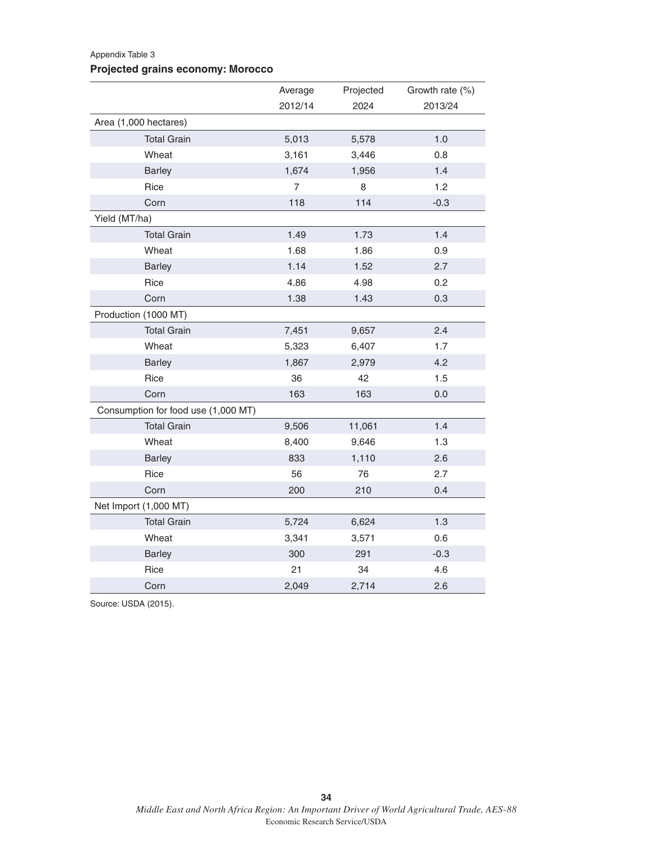#### Appendix Table 3

### **Projected grains economy: Morocco**

|                                     | Average        | Projected | Growth rate (%) |
|-------------------------------------|----------------|-----------|-----------------|
|                                     | 2012/14        | 2024      | 2013/24         |
| Area (1,000 hectares)               |                |           |                 |
| <b>Total Grain</b>                  | 5,013          | 5,578     | 1.0             |
| Wheat                               | 3,161          | 3,446     | 0.8             |
| <b>Barley</b>                       | 1,674          | 1,956     | 1.4             |
| Rice                                | $\overline{7}$ | 8         | 1.2             |
| Corn                                | 118            | 114       | $-0.3$          |
| Yield (MT/ha)                       |                |           |                 |
| <b>Total Grain</b>                  | 1.49           | 1.73      | 1.4             |
| Wheat                               | 1.68           | 1.86      | 0.9             |
| <b>Barley</b>                       | 1.14           | 1.52      | 2.7             |
| Rice                                | 4.86           | 4.98      | 0.2             |
| Corn                                | 1.38           | 1.43      | 0.3             |
| Production (1000 MT)                |                |           |                 |
| <b>Total Grain</b>                  | 7,451          | 9,657     | 2.4             |
| Wheat                               | 5,323          | 6,407     | 1.7             |
| <b>Barley</b>                       | 1,867          | 2,979     | 4.2             |
| Rice                                | 36             | 42        | 1.5             |
| Corn                                | 163            | 163       | 0.0             |
| Consumption for food use (1,000 MT) |                |           |                 |
| <b>Total Grain</b>                  | 9,506          | 11,061    | 1.4             |
| Wheat                               | 8,400          | 9,646     | 1.3             |
| <b>Barley</b>                       | 833            | 1,110     | 2.6             |
| Rice                                | 56             | 76        | 2.7             |
| Corn                                | 200            | 210       | 0.4             |
| Net Import (1,000 MT)               |                |           |                 |
| <b>Total Grain</b>                  | 5,724          | 6,624     | 1.3             |
| Wheat                               | 3,341          | 3,571     | 0.6             |
| <b>Barley</b>                       | 300            | 291       | $-0.3$          |
| Rice                                | 21             | 34        | 4.6             |
| Corn                                | 2,049          | 2,714     | 2.6             |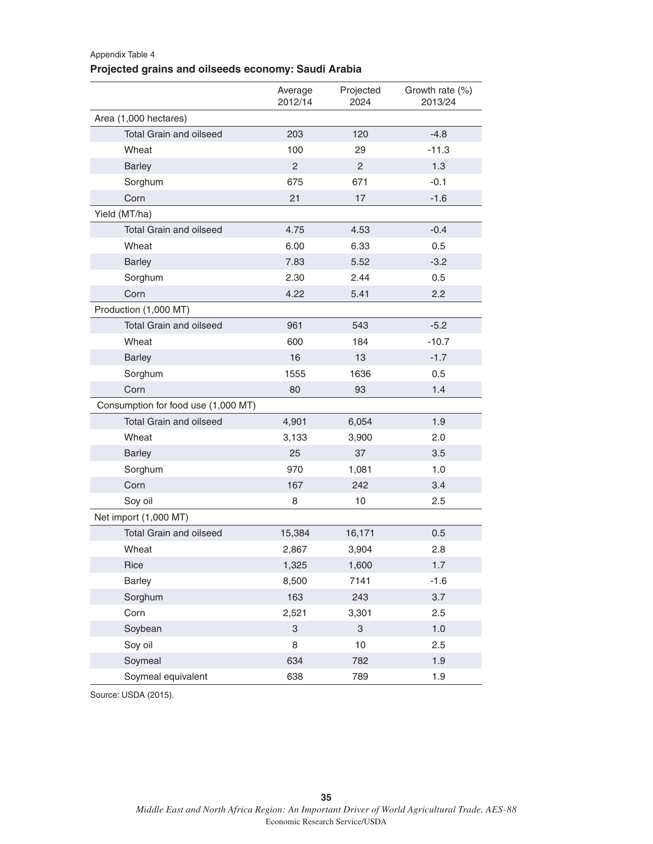### Appendix Table 4 **Projected grains and oilseeds economy: Saudi Arabia**

|                                     | Average<br>2012/14        | Projected<br>2024 | Growth rate (%)<br>2013/24 |
|-------------------------------------|---------------------------|-------------------|----------------------------|
| Area (1,000 hectares)               |                           |                   |                            |
| <b>Total Grain and oilseed</b>      | 203                       | 120               | $-4.8$                     |
| Wheat                               | 100                       | 29                | $-11.3$                    |
| <b>Barley</b>                       | 2                         | 2                 | 1.3                        |
| Sorghum                             | 675                       | 671               | $-0.1$                     |
| Corn                                | 21                        | 17                | $-1.6$                     |
| Yield (MT/ha)                       |                           |                   |                            |
| <b>Total Grain and oilseed</b>      | 4.75                      | 4.53              | $-0.4$                     |
| Wheat                               | 6.00                      | 6.33              | 0.5                        |
| <b>Barley</b>                       | 7.83                      | 5.52              | $-3.2$                     |
| Sorghum                             | 2.30                      | 2.44              | 0.5                        |
| Corn                                | 4.22                      | 5.41              | 2.2                        |
| Production (1,000 MT)               |                           |                   |                            |
| <b>Total Grain and oilseed</b>      | 961                       | 543               | $-5.2$                     |
| Wheat                               | 600                       | 184               | $-10.7$                    |
| <b>Barley</b>                       | 16                        | 13                | $-1.7$                     |
| Sorghum                             | 1555                      | 1636              | 0.5                        |
| Corn                                | 80                        | 93                | 1.4                        |
| Consumption for food use (1,000 MT) |                           |                   |                            |
| <b>Total Grain and oilseed</b>      | 4,901                     | 6,054             | 1.9                        |
| Wheat                               | 3,133                     | 3,900             | 2.0                        |
| <b>Barley</b>                       | 25                        | 37                | 3.5                        |
| Sorghum                             | 970                       | 1,081             | 1.0                        |
| Corn                                | 167                       | 242               | 3.4                        |
| Soy oil                             | 8                         | 10                | 2.5                        |
| Net import (1,000 MT)               |                           |                   |                            |
| <b>Total Grain and oilseed</b>      | 15,384                    | 16,171            | 0.5                        |
| Wheat                               | 2,867                     | 3,904             | 2.8                        |
| Rice                                | 1,325                     | 1,600             | 1.7                        |
| <b>Barley</b>                       | 8,500                     | 7141              | $-1.6$                     |
| Sorghum                             | 163                       | 243               | 3.7                        |
| Corn                                | 2,521                     | 3,301             | 2.5                        |
| Soybean                             | $\ensuremath{\mathsf{3}}$ | 3                 | 1.0                        |
| Soy oil                             | 8                         | 10                | 2.5                        |
| Soymeal                             | 634                       | 782               | 1.9                        |
| Soymeal equivalent                  | 638                       | 789               | 1.9                        |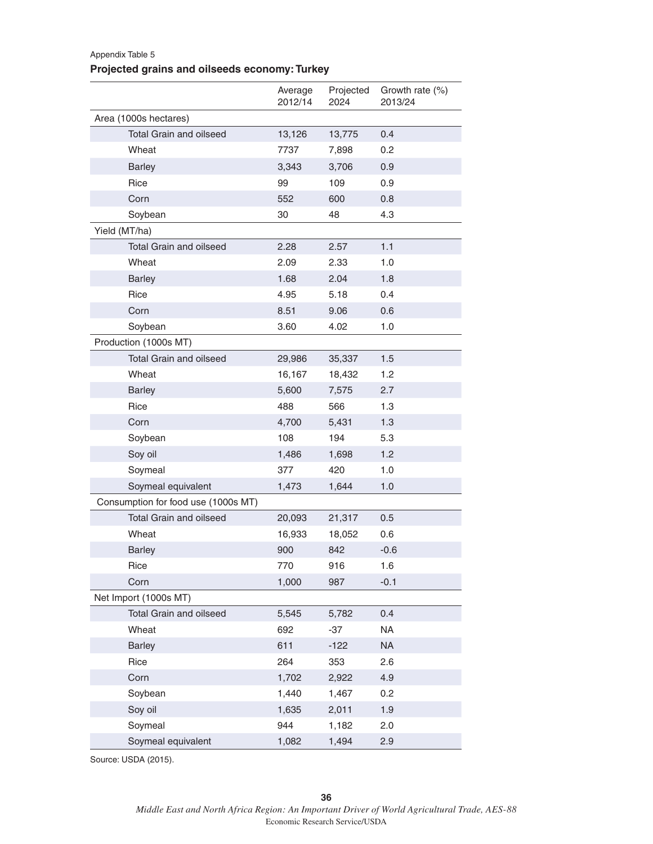### Appendix Table 5 **Projected grains and oilseeds economy: Turkey**

|                                     | Average<br>2012/14 | Projected<br>2024 | Growth rate (%)<br>2013/24 |
|-------------------------------------|--------------------|-------------------|----------------------------|
| Area (1000s hectares)               |                    |                   |                            |
| <b>Total Grain and oilseed</b>      | 13,126             | 13,775            | 0.4                        |
| Wheat                               | 7737               | 7,898             | 0.2                        |
| <b>Barley</b>                       | 3,343              | 3,706             | 0.9                        |
| Rice                                | 99                 | 109               | 0.9                        |
| Corn                                | 552                | 600               | 0.8                        |
| Soybean                             | 30                 | 48                | 4.3                        |
| Yield (MT/ha)                       |                    |                   |                            |
| <b>Total Grain and oilseed</b>      | 2.28               | 2.57              | 1.1                        |
| Wheat                               | 2.09               | 2.33              | 1.0                        |
| <b>Barley</b>                       | 1.68               | 2.04              | 1.8                        |
| Rice                                | 4.95               | 5.18              | 0.4                        |
| Corn                                | 8.51               | 9.06              | 0.6                        |
| Soybean                             | 3.60               | 4.02              | 1.0                        |
| Production (1000s MT)               |                    |                   |                            |
| <b>Total Grain and oilseed</b>      | 29,986             | 35,337            | 1.5                        |
| Wheat                               | 16,167             | 18,432            | 1.2                        |
| <b>Barley</b>                       | 5,600              | 7,575             | 2.7                        |
| Rice                                | 488                | 566               | 1.3                        |
| Corn                                | 4,700              | 5,431             | 1.3                        |
| Soybean                             | 108                | 194               | 5.3                        |
| Soy oil                             | 1,486              | 1,698             | 1.2                        |
| Soymeal                             | 377                | 420               | 1.0                        |
| Soymeal equivalent                  | 1,473              | 1,644             | 1.0                        |
| Consumption for food use (1000s MT) |                    |                   |                            |
| <b>Total Grain and oilseed</b>      | 20,093             | 21,317            | 0.5                        |
| Wheat                               | 16,933             | 18,052            | 0.6                        |
| <b>Barley</b>                       | 900                | 842               | $-0.6$                     |
| Rice                                | 770                | 916               | 1.6                        |
| Corn                                | 1,000              | 987               | $-0.1$                     |
| Net Import (1000s MT)               |                    |                   |                            |
| Total Grain and oilseed             | 5,545              | 5,782             | 0.4                        |
| Wheat                               | 692                | $-37$             | <b>NA</b>                  |
| <b>Barley</b>                       | 611                | $-122$            | <b>NA</b>                  |
| Rice                                | 264                | 353               | 2.6                        |
| Corn                                | 1,702              | 2,922             | 4.9                        |
| Soybean                             | 1,440              | 1,467             | 0.2                        |
| Soy oil                             | 1,635              | 2,011             | 1.9                        |
| Soymeal                             | 944                | 1,182             | 2.0                        |
| Soymeal equivalent                  | 1,082              | 1,494             | 2.9                        |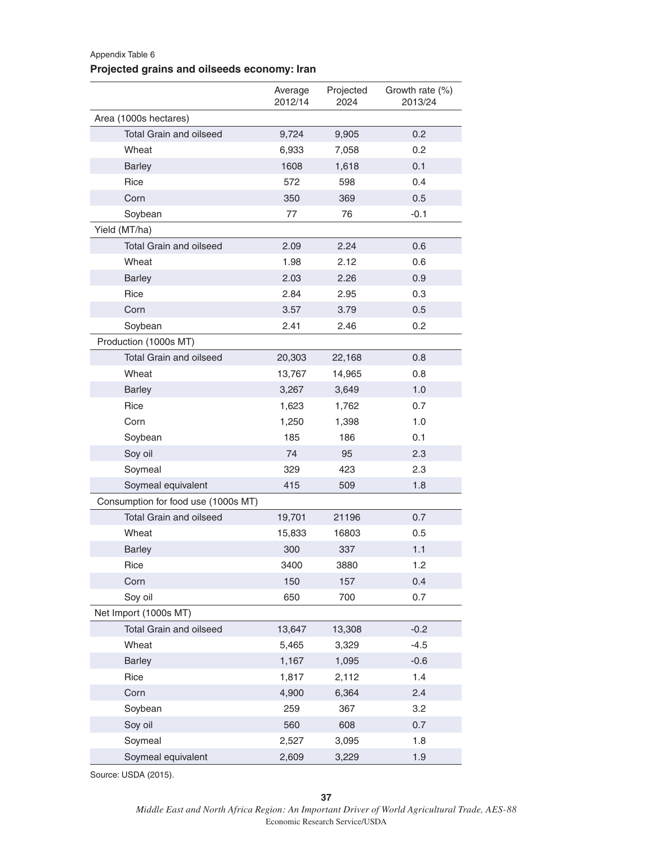### Appendix Table 6 **Projected grains and oilseeds economy: Iran**

|                                     | Average<br>2012/14 | Projected<br>2024 | Growth rate (%)<br>2013/24 |
|-------------------------------------|--------------------|-------------------|----------------------------|
| Area (1000s hectares)               |                    |                   |                            |
| <b>Total Grain and oilseed</b>      | 9,724              | 9,905             | 0.2                        |
| Wheat                               | 6,933              | 7,058             | 0.2                        |
| <b>Barley</b>                       | 1608               | 1,618             | 0.1                        |
| Rice                                | 572                | 598               | 0.4                        |
| Corn                                | 350                | 369               | 0.5                        |
| Soybean                             | 77                 | 76                | $-0.1$                     |
| Yield (MT/ha)                       |                    |                   |                            |
| <b>Total Grain and oilseed</b>      | 2.09               | 2.24              | 0.6                        |
| Wheat                               | 1.98               | 2.12              | 0.6                        |
| <b>Barley</b>                       | 2.03               | 2.26              | 0.9                        |
| Rice                                | 2.84               | 2.95              | 0.3                        |
| Corn                                | 3.57               | 3.79              | 0.5                        |
| Soybean                             | 2.41               | 2.46              | 0.2                        |
| Production (1000s MT)               |                    |                   |                            |
| <b>Total Grain and oilseed</b>      | 20,303             | 22,168            | 0.8                        |
| Wheat                               | 13,767             | 14,965            | 0.8                        |
| <b>Barley</b>                       | 3,267              | 3,649             | 1.0                        |
| Rice                                | 1,623              | 1,762             | 0.7                        |
| Corn                                | 1,250              | 1,398             | 1.0                        |
| Soybean                             | 185                | 186               | 0.1                        |
| Soy oil                             | 74                 | 95                | 2.3                        |
| Soymeal                             | 329                | 423               | 2.3                        |
| Soymeal equivalent                  | 415                | 509               | 1.8                        |
| Consumption for food use (1000s MT) |                    |                   |                            |
| <b>Total Grain and oilseed</b>      | 19,701             | 21196             | 0.7                        |
| Wheat                               | 15,833             | 16803             | 0.5                        |
| <b>Barley</b>                       | 300                | 337               | 1.1                        |
| Rice                                | 3400               | 3880              | 1.2                        |
| Corn                                | 150                | 157               | 0.4                        |
| Soy oil                             | 650                | 700               | 0.7                        |
| Net Import (1000s MT)               |                    |                   |                            |
| Total Grain and oilseed             | 13,647             | 13,308            | $-0.2$                     |
| Wheat                               | 5,465              | 3,329             | $-4.5$                     |
| <b>Barley</b>                       | 1,167              | 1,095             | $-0.6$                     |
| Rice                                | 1,817              | 2,112             | 1.4                        |
| Corn                                | 4,900              | 6,364             | 2.4                        |
| Soybean                             | 259                | 367               | 3.2                        |
| Soy oil                             | 560                | 608               | 0.7                        |
| Soymeal                             | 2,527              | 3,095             | 1.8                        |
| Soymeal equivalent                  | 2,609              | 3,229             | 1.9                        |

Source: USDA (2015).

*Middle East and North Africa Region: An Important Driver of World Agricultural Trade, AES-88* Economic Research Service/USDA